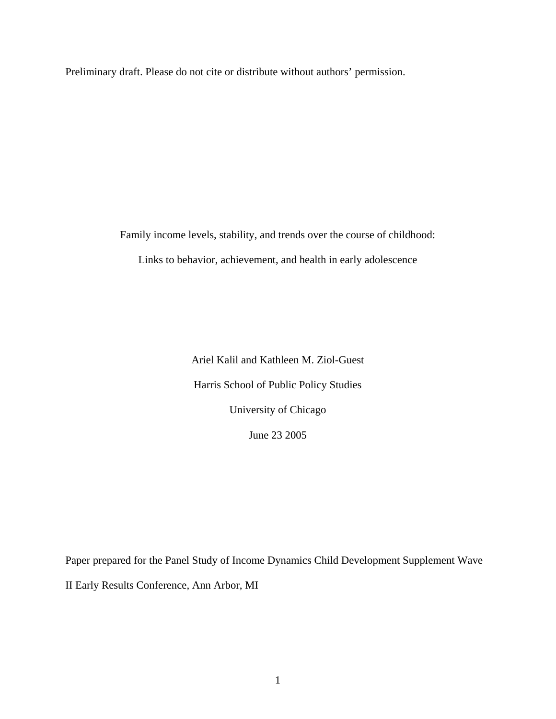Preliminary draft. Please do not cite or distribute without authors' permission.

Family income levels, stability, and trends over the course of childhood:

Links to behavior, achievement, and health in early adolescence

Ariel Kalil and Kathleen M. Ziol-Guest Harris School of Public Policy Studies University of Chicago June 23 2005

Paper prepared for the Panel Study of Income Dynamics Child Development Supplement Wave II Early Results Conference, Ann Arbor, MI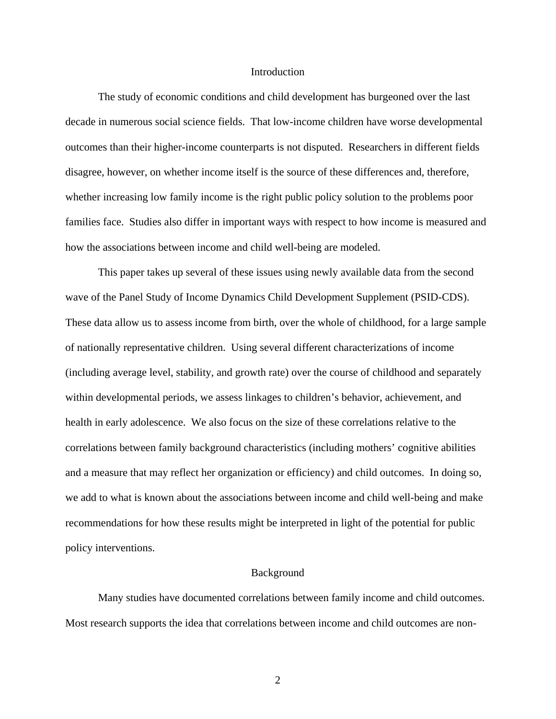### Introduction

The study of economic conditions and child development has burgeoned over the last decade in numerous social science fields. That low-income children have worse developmental outcomes than their higher-income counterparts is not disputed. Researchers in different fields disagree, however, on whether income itself is the source of these differences and, therefore, whether increasing low family income is the right public policy solution to the problems poor families face. Studies also differ in important ways with respect to how income is measured and how the associations between income and child well-being are modeled.

This paper takes up several of these issues using newly available data from the second wave of the Panel Study of Income Dynamics Child Development Supplement (PSID-CDS). These data allow us to assess income from birth, over the whole of childhood, for a large sample of nationally representative children. Using several different characterizations of income (including average level, stability, and growth rate) over the course of childhood and separately within developmental periods, we assess linkages to children's behavior, achievement, and health in early adolescence. We also focus on the size of these correlations relative to the correlations between family background characteristics (including mothers' cognitive abilities and a measure that may reflect her organization or efficiency) and child outcomes. In doing so, we add to what is known about the associations between income and child well-being and make recommendations for how these results might be interpreted in light of the potential for public policy interventions.

#### Background

Many studies have documented correlations between family income and child outcomes. Most research supports the idea that correlations between income and child outcomes are non-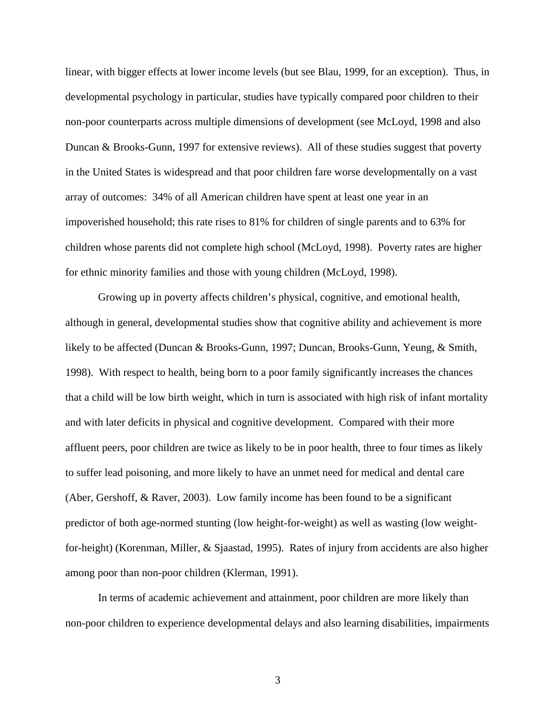linear, with bigger effects at lower income levels (but see Blau, 1999, for an exception). Thus, in developmental psychology in particular, studies have typically compared poor children to their non-poor counterparts across multiple dimensions of development (see McLoyd, 1998 and also Duncan & Brooks-Gunn, 1997 for extensive reviews). All of these studies suggest that poverty in the United States is widespread and that poor children fare worse developmentally on a vast array of outcomes: 34% of all American children have spent at least one year in an impoverished household; this rate rises to 81% for children of single parents and to 63% for children whose parents did not complete high school (McLoyd, 1998). Poverty rates are higher for ethnic minority families and those with young children (McLoyd, 1998).

Growing up in poverty affects children's physical, cognitive, and emotional health, although in general, developmental studies show that cognitive ability and achievement is more likely to be affected (Duncan & Brooks-Gunn, 1997; Duncan, Brooks-Gunn, Yeung, & Smith, 1998). With respect to health, being born to a poor family significantly increases the chances that a child will be low birth weight, which in turn is associated with high risk of infant mortality and with later deficits in physical and cognitive development. Compared with their more affluent peers, poor children are twice as likely to be in poor health, three to four times as likely to suffer lead poisoning, and more likely to have an unmet need for medical and dental care (Aber, Gershoff, & Raver, 2003). Low family income has been found to be a significant predictor of both age-normed stunting (low height-for-weight) as well as wasting (low weightfor-height) (Korenman, Miller, & Sjaastad, 1995). Rates of injury from accidents are also higher among poor than non-poor children (Klerman, 1991).

In terms of academic achievement and attainment, poor children are more likely than non-poor children to experience developmental delays and also learning disabilities, impairments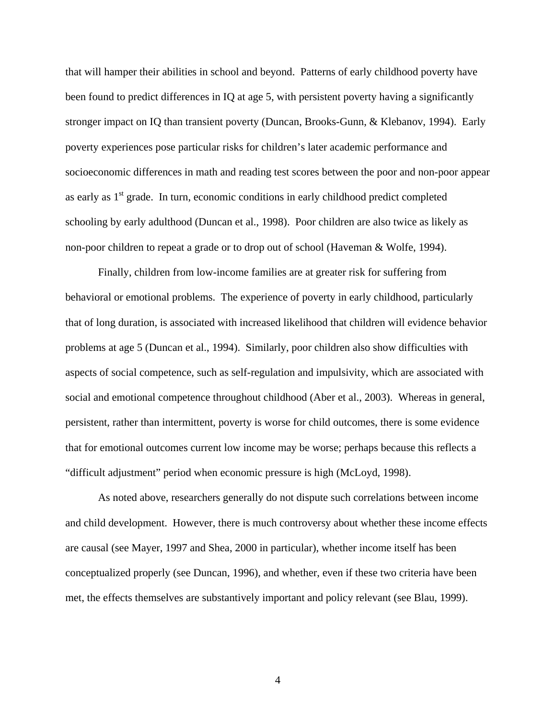that will hamper their abilities in school and beyond. Patterns of early childhood poverty have been found to predict differences in IQ at age 5, with persistent poverty having a significantly stronger impact on IQ than transient poverty (Duncan, Brooks-Gunn, & Klebanov, 1994). Early poverty experiences pose particular risks for children's later academic performance and socioeconomic differences in math and reading test scores between the poor and non-poor appear as early as  $1<sup>st</sup>$  grade. In turn, economic conditions in early childhood predict completed schooling by early adulthood (Duncan et al., 1998). Poor children are also twice as likely as non-poor children to repeat a grade or to drop out of school (Haveman & Wolfe, 1994).

Finally, children from low-income families are at greater risk for suffering from behavioral or emotional problems. The experience of poverty in early childhood, particularly that of long duration, is associated with increased likelihood that children will evidence behavior problems at age 5 (Duncan et al., 1994). Similarly, poor children also show difficulties with aspects of social competence, such as self-regulation and impulsivity, which are associated with social and emotional competence throughout childhood (Aber et al., 2003). Whereas in general, persistent, rather than intermittent, poverty is worse for child outcomes, there is some evidence that for emotional outcomes current low income may be worse; perhaps because this reflects a "difficult adjustment" period when economic pressure is high (McLoyd, 1998).

As noted above, researchers generally do not dispute such correlations between income and child development. However, there is much controversy about whether these income effects are causal (see Mayer, 1997 and Shea, 2000 in particular), whether income itself has been conceptualized properly (see Duncan, 1996), and whether, even if these two criteria have been met, the effects themselves are substantively important and policy relevant (see Blau, 1999).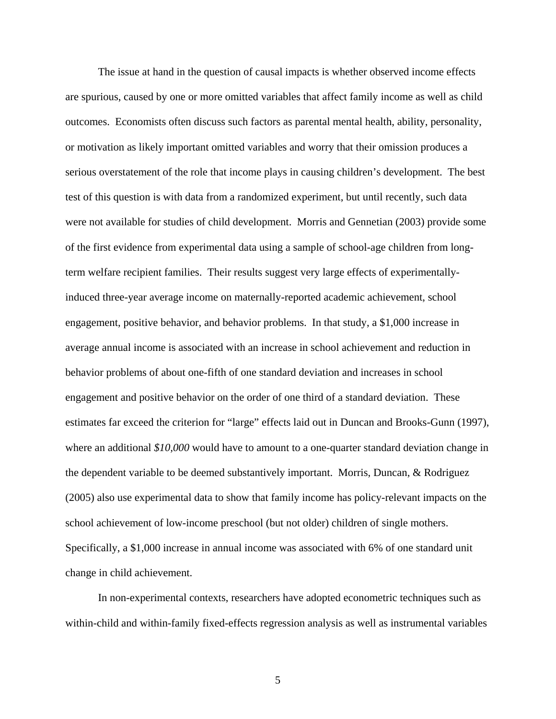The issue at hand in the question of causal impacts is whether observed income effects are spurious, caused by one or more omitted variables that affect family income as well as child outcomes. Economists often discuss such factors as parental mental health, ability, personality, or motivation as likely important omitted variables and worry that their omission produces a serious overstatement of the role that income plays in causing children's development. The best test of this question is with data from a randomized experiment, but until recently, such data were not available for studies of child development. Morris and Gennetian (2003) provide some of the first evidence from experimental data using a sample of school-age children from longterm welfare recipient families. Their results suggest very large effects of experimentallyinduced three-year average income on maternally-reported academic achievement, school engagement, positive behavior, and behavior problems. In that study, a \$1,000 increase in average annual income is associated with an increase in school achievement and reduction in behavior problems of about one-fifth of one standard deviation and increases in school engagement and positive behavior on the order of one third of a standard deviation. These estimates far exceed the criterion for "large" effects laid out in Duncan and Brooks-Gunn (1997), where an additional *\$10,000* would have to amount to a one-quarter standard deviation change in the dependent variable to be deemed substantively important. Morris, Duncan, & Rodriguez (2005) also use experimental data to show that family income has policy-relevant impacts on the school achievement of low-income preschool (but not older) children of single mothers. Specifically, a \$1,000 increase in annual income was associated with 6% of one standard unit change in child achievement.

In non-experimental contexts, researchers have adopted econometric techniques such as within-child and within-family fixed-effects regression analysis as well as instrumental variables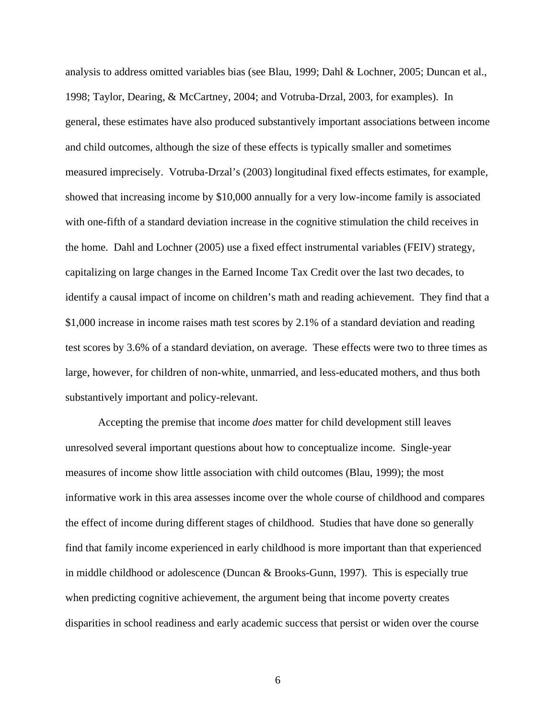analysis to address omitted variables bias (see Blau, 1999; Dahl & Lochner, 2005; Duncan et al., 1998; Taylor, Dearing, & McCartney, 2004; and Votruba-Drzal, 2003, for examples). In general, these estimates have also produced substantively important associations between income and child outcomes, although the size of these effects is typically smaller and sometimes measured imprecisely. Votruba-Drzal's (2003) longitudinal fixed effects estimates, for example, showed that increasing income by \$10,000 annually for a very low-income family is associated with one-fifth of a standard deviation increase in the cognitive stimulation the child receives in the home. Dahl and Lochner (2005) use a fixed effect instrumental variables (FEIV) strategy, capitalizing on large changes in the Earned Income Tax Credit over the last two decades, to identify a causal impact of income on children's math and reading achievement. They find that a \$1,000 increase in income raises math test scores by 2.1% of a standard deviation and reading test scores by 3.6% of a standard deviation, on average. These effects were two to three times as large, however, for children of non-white, unmarried, and less-educated mothers, and thus both substantively important and policy-relevant.

Accepting the premise that income *does* matter for child development still leaves unresolved several important questions about how to conceptualize income. Single-year measures of income show little association with child outcomes (Blau, 1999); the most informative work in this area assesses income over the whole course of childhood and compares the effect of income during different stages of childhood. Studies that have done so generally find that family income experienced in early childhood is more important than that experienced in middle childhood or adolescence (Duncan & Brooks-Gunn, 1997). This is especially true when predicting cognitive achievement, the argument being that income poverty creates disparities in school readiness and early academic success that persist or widen over the course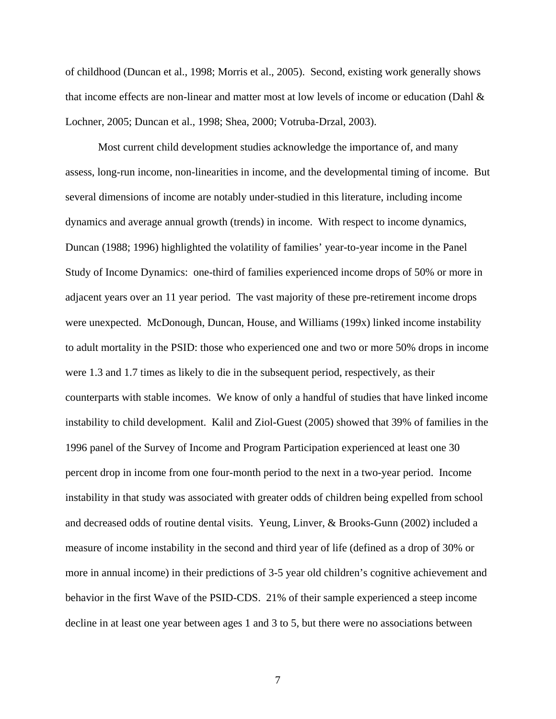of childhood (Duncan et al., 1998; Morris et al., 2005). Second, existing work generally shows that income effects are non-linear and matter most at low levels of income or education (Dahl & Lochner, 2005; Duncan et al., 1998; Shea, 2000; Votruba-Drzal, 2003).

Most current child development studies acknowledge the importance of, and many assess, long-run income, non-linearities in income, and the developmental timing of income. But several dimensions of income are notably under-studied in this literature, including income dynamics and average annual growth (trends) in income. With respect to income dynamics, Duncan (1988; 1996) highlighted the volatility of families' year-to-year income in the Panel Study of Income Dynamics: one-third of families experienced income drops of 50% or more in adjacent years over an 11 year period. The vast majority of these pre-retirement income drops were unexpected. McDonough, Duncan, House, and Williams (199x) linked income instability to adult mortality in the PSID: those who experienced one and two or more 50% drops in income were 1.3 and 1.7 times as likely to die in the subsequent period, respectively, as their counterparts with stable incomes. We know of only a handful of studies that have linked income instability to child development. Kalil and Ziol-Guest (2005) showed that 39% of families in the 1996 panel of the Survey of Income and Program Participation experienced at least one 30 percent drop in income from one four-month period to the next in a two-year period. Income instability in that study was associated with greater odds of children being expelled from school and decreased odds of routine dental visits. Yeung, Linver, & Brooks-Gunn (2002) included a measure of income instability in the second and third year of life (defined as a drop of 30% or more in annual income) in their predictions of 3-5 year old children's cognitive achievement and behavior in the first Wave of the PSID-CDS. 21% of their sample experienced a steep income decline in at least one year between ages 1 and 3 to 5, but there were no associations between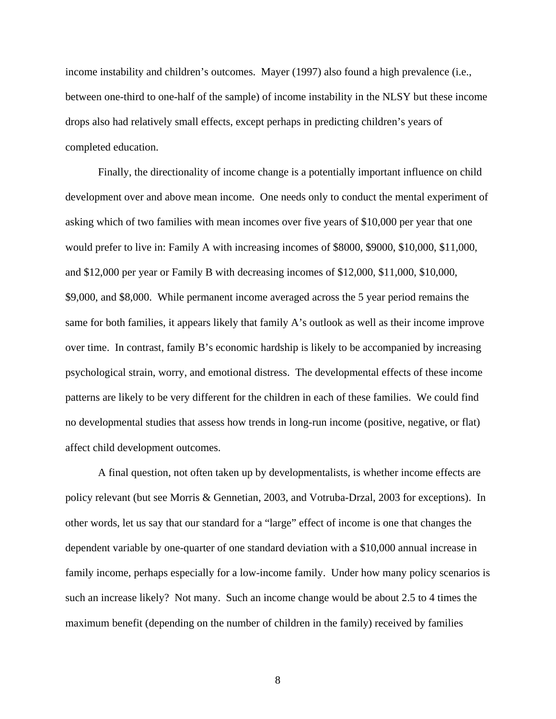income instability and children's outcomes. Mayer (1997) also found a high prevalence (i.e., between one-third to one-half of the sample) of income instability in the NLSY but these income drops also had relatively small effects, except perhaps in predicting children's years of completed education.

Finally, the directionality of income change is a potentially important influence on child development over and above mean income. One needs only to conduct the mental experiment of asking which of two families with mean incomes over five years of \$10,000 per year that one would prefer to live in: Family A with increasing incomes of \$8000, \$9000, \$10,000, \$11,000, and \$12,000 per year or Family B with decreasing incomes of \$12,000, \$11,000, \$10,000, \$9,000, and \$8,000. While permanent income averaged across the 5 year period remains the same for both families, it appears likely that family A's outlook as well as their income improve over time. In contrast, family B's economic hardship is likely to be accompanied by increasing psychological strain, worry, and emotional distress. The developmental effects of these income patterns are likely to be very different for the children in each of these families. We could find no developmental studies that assess how trends in long-run income (positive, negative, or flat) affect child development outcomes.

A final question, not often taken up by developmentalists, is whether income effects are policy relevant (but see Morris & Gennetian, 2003, and Votruba-Drzal, 2003 for exceptions). In other words, let us say that our standard for a "large" effect of income is one that changes the dependent variable by one-quarter of one standard deviation with a \$10,000 annual increase in family income, perhaps especially for a low-income family. Under how many policy scenarios is such an increase likely? Not many. Such an income change would be about 2.5 to 4 times the maximum benefit (depending on the number of children in the family) received by families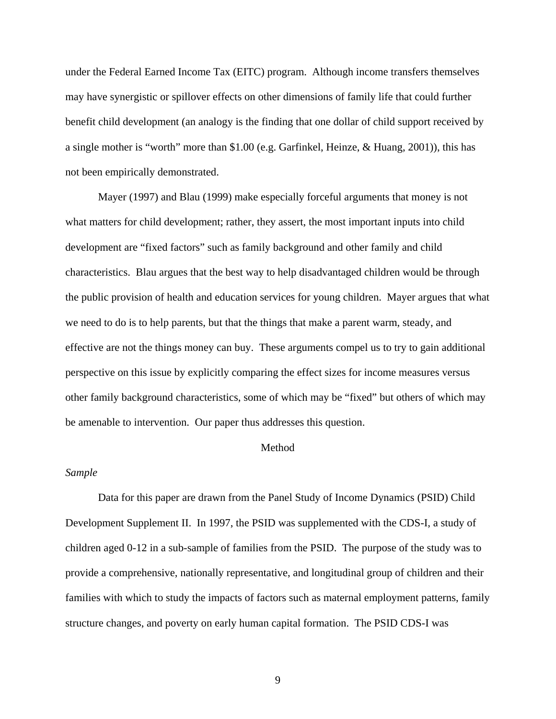under the Federal Earned Income Tax (EITC) program. Although income transfers themselves may have synergistic or spillover effects on other dimensions of family life that could further benefit child development (an analogy is the finding that one dollar of child support received by a single mother is "worth" more than \$1.00 (e.g. Garfinkel, Heinze, & Huang, 2001)), this has not been empirically demonstrated.

Mayer (1997) and Blau (1999) make especially forceful arguments that money is not what matters for child development; rather, they assert, the most important inputs into child development are "fixed factors" such as family background and other family and child characteristics. Blau argues that the best way to help disadvantaged children would be through the public provision of health and education services for young children. Mayer argues that what we need to do is to help parents, but that the things that make a parent warm, steady, and effective are not the things money can buy. These arguments compel us to try to gain additional perspective on this issue by explicitly comparing the effect sizes for income measures versus other family background characteristics, some of which may be "fixed" but others of which may be amenable to intervention. Our paper thus addresses this question.

### Method

### *Sample*

Data for this paper are drawn from the Panel Study of Income Dynamics (PSID) Child Development Supplement II. In 1997, the PSID was supplemented with the CDS-I, a study of children aged 0-12 in a sub-sample of families from the PSID. The purpose of the study was to provide a comprehensive, nationally representative, and longitudinal group of children and their families with which to study the impacts of factors such as maternal employment patterns, family structure changes, and poverty on early human capital formation. The PSID CDS-I was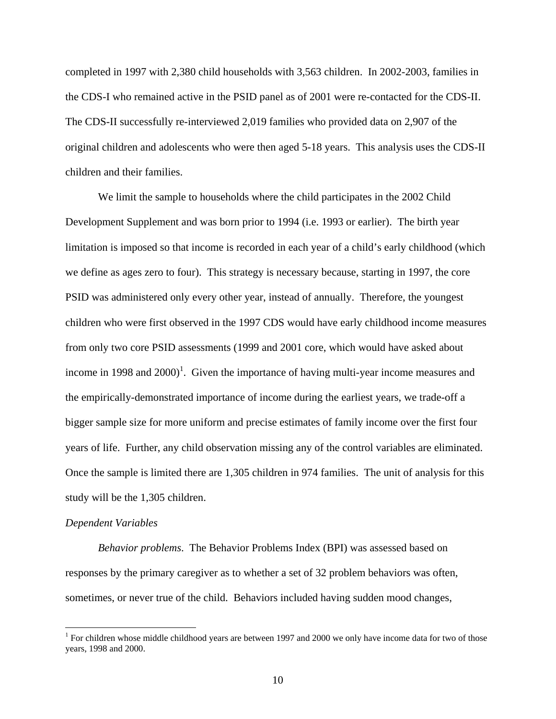completed in 1997 with 2,380 child households with 3,563 children. In 2002-2003, families in the CDS-I who remained active in the PSID panel as of 2001 were re-contacted for the CDS-II. The CDS-II successfully re-interviewed 2,019 families who provided data on 2,907 of the original children and adolescents who were then aged 5-18 years. This analysis uses the CDS-II children and their families.

We limit the sample to households where the child participates in the 2002 Child Development Supplement and was born prior to 1994 (i.e. 1993 or earlier). The birth year limitation is imposed so that income is recorded in each year of a child's early childhood (which we define as ages zero to four). This strategy is necessary because, starting in 1997, the core PSID was administered only every other year, instead of annually. Therefore, the youngest children who were first observed in the 1997 CDS would have early childhood income measures from only two core PSID assessments (1999 and 2001 core, which would have asked about income in 1998 and  $2000$ <sup>1</sup>[.](#page-9-0) Given the importance of having multi-year income measures and the empirically-demonstrated importance of income during the earliest years, we trade-off a bigger sample size for more uniform and precise estimates of family income over the first four years of life. Further, any child observation missing any of the control variables are eliminated. Once the sample is limited there are 1,305 children in 974 families. The unit of analysis for this study will be the 1,305 children.

#### *Dependent Variables*

*Behavior problems*. The Behavior Problems Index (BPI) was assessed based on responses by the primary caregiver as to whether a set of 32 problem behaviors was often, sometimes, or never true of the child. Behaviors included having sudden mood changes,

<span id="page-9-0"></span><sup>&</sup>lt;sup>1</sup> For children whose middle childhood years are between 1997 and 2000 we only have income data for two of those years, 1998 and 2000.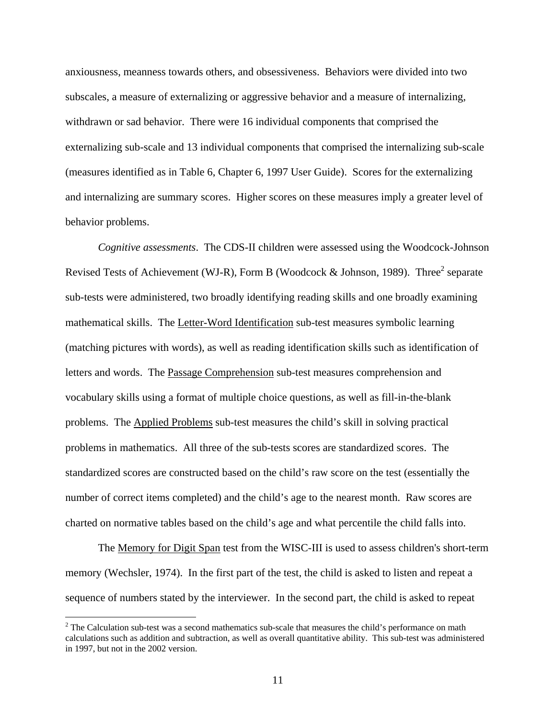anxiousness, meanness towards others, and obsessiveness. Behaviors were divided into two subscales, a measure of externalizing or aggressive behavior and a measure of internalizing, withdrawn or sad behavior. There were 16 individual components that comprised the externalizing sub-scale and 13 individual components that comprised the internalizing sub-scale (measures identified as in Table 6, Chapter 6, 1997 User Guide). Scores for the externalizing and internalizing are summary scores. Higher scores on these measures imply a greater level of behavior problems.

*Cognitive assessments*. The CDS-II children were assessed using the Woodcock-Johnson Revised Tests of Achievement (WJ-R), Form B (Woodcock & Johnson, 1989). Three<sup>[2](#page-10-0)</sup> separate sub-tests were administered, two broadly identifying reading skills and one broadly examining mathematical skills. The Letter-Word Identification sub-test measures symbolic learning (matching pictures with words), as well as reading identification skills such as identification of letters and words. The Passage Comprehension sub-test measures comprehension and vocabulary skills using a format of multiple choice questions, as well as fill-in-the-blank problems. The Applied Problems sub-test measures the child's skill in solving practical problems in mathematics. All three of the sub-tests scores are standardized scores. The standardized scores are constructed based on the child's raw score on the test (essentially the number of correct items completed) and the child's age to the nearest month. Raw scores are charted on normative tables based on the child's age and what percentile the child falls into.

The Memory for Digit Span test from the WISC-III is used to assess children's short-term memory (Wechsler, 1974). In the first part of the test, the child is asked to listen and repeat a sequence of numbers stated by the interviewer. In the second part, the child is asked to repeat

<span id="page-10-0"></span> $2^2$  The Calculation sub-test was a second mathematics sub-scale that measures the child's performance on math calculations such as addition and subtraction, as well as overall quantitative ability. This sub-test was administered in 1997, but not in the 2002 version.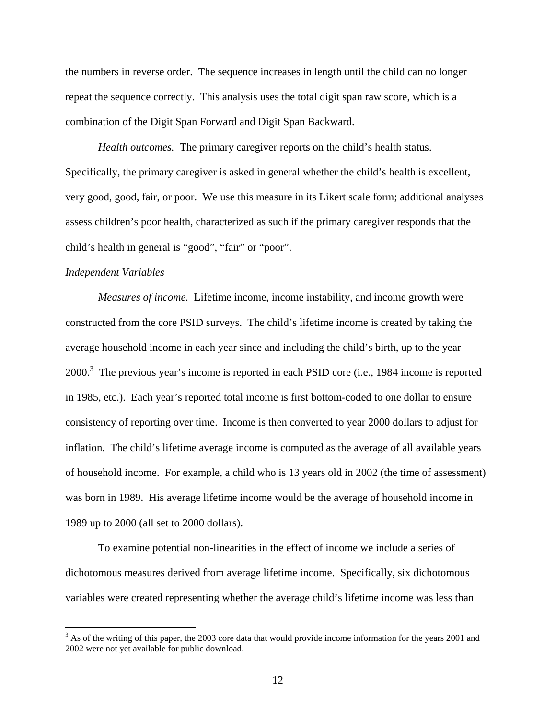the numbers in reverse order. The sequence increases in length until the child can no longer repeat the sequence correctly. This analysis uses the total digit span raw score, which is a combination of the Digit Span Forward and Digit Span Backward.

*Health outcomes.* The primary caregiver reports on the child's health status. Specifically, the primary caregiver is asked in general whether the child's health is excellent, very good, good, fair, or poor. We use this measure in its Likert scale form; additional analyses assess children's poor health, characterized as such if the primary caregiver responds that the child's health in general is "good", "fair" or "poor".

#### *Independent Variables*

 $\overline{a}$ 

*Measures of income.* Lifetime income, income instability, and income growth were constructed from the core PSID surveys. The child's lifetime income is created by taking the average household income in each year since and including the child's birth, up to the year  $2000$ .<sup>3</sup> The previous year's income is reported in each PSID core (i.e., 1984 income is reported in 1985, etc.). Each year's reported total income is first bottom-coded to one dollar to ensure consistency of reporting over time. Income is then converted to year 2000 dollars to adjust for inflation. The child's lifetime average income is computed as the average of all available years of household income. For example, a child who is 13 years old in 2002 (the time of assessment) was born in 1989. His average lifetime income would be the average of household income in 1989 up to 2000 (all set to 2000 dollars).

To examine potential non-linearities in the effect of income we include a series of dichotomous measures derived from average lifetime income. Specifically, six dichotomous variables were created representing whether the average child's lifetime income was less than

<span id="page-11-0"></span> $3$  As of the writing of this paper, the 2003 core data that would provide income information for the years 2001 and 2002 were not yet available for public download.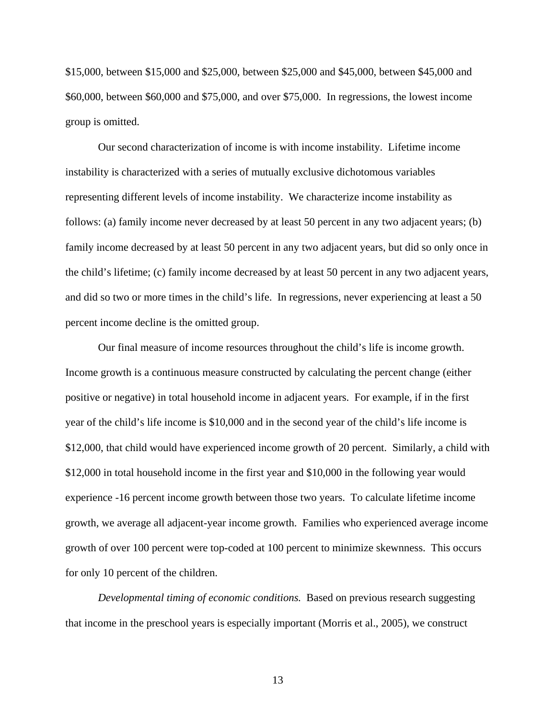\$15,000, between \$15,000 and \$25,000, between \$25,000 and \$45,000, between \$45,000 and \$60,000, between \$60,000 and \$75,000, and over \$75,000. In regressions, the lowest income group is omitted.

Our second characterization of income is with income instability. Lifetime income instability is characterized with a series of mutually exclusive dichotomous variables representing different levels of income instability. We characterize income instability as follows: (a) family income never decreased by at least 50 percent in any two adjacent years; (b) family income decreased by at least 50 percent in any two adjacent years, but did so only once in the child's lifetime; (c) family income decreased by at least 50 percent in any two adjacent years, and did so two or more times in the child's life. In regressions, never experiencing at least a 50 percent income decline is the omitted group.

Our final measure of income resources throughout the child's life is income growth. Income growth is a continuous measure constructed by calculating the percent change (either positive or negative) in total household income in adjacent years. For example, if in the first year of the child's life income is \$10,000 and in the second year of the child's life income is \$12,000, that child would have experienced income growth of 20 percent. Similarly, a child with \$12,000 in total household income in the first year and \$10,000 in the following year would experience -16 percent income growth between those two years. To calculate lifetime income growth, we average all adjacent-year income growth. Families who experienced average income growth of over 100 percent were top-coded at 100 percent to minimize skewnness. This occurs for only 10 percent of the children.

*Developmental timing of economic conditions.* Based on previous research suggesting that income in the preschool years is especially important (Morris et al., 2005), we construct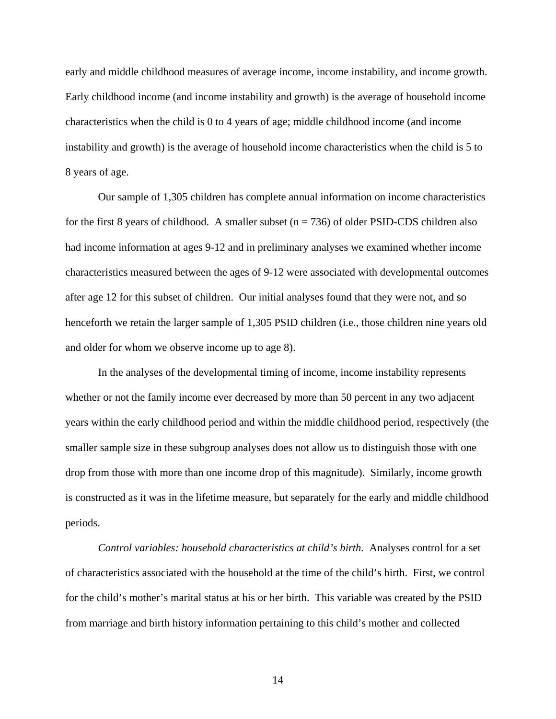early and middle childhood measures of average income, income instability, and income growth. Early childhood income (and income instability and growth) is the average of household income characteristics when the child is 0 to 4 years of age; middle childhood income (and income instability and growth) is the average of household income characteristics when the child is 5 to 8 years of age.

Our sample of 1,305 children has complete annual information on income characteristics for the first 8 years of childhood. A smaller subset  $(n = 736)$  of older PSID-CDS children also had income information at ages 9-12 and in preliminary analyses we examined whether income characteristics measured between the ages of 9-12 were associated with developmental outcomes after age 12 for this subset of children. Our initial analyses found that they were not, and so henceforth we retain the larger sample of 1,305 PSID children (i.e., those children nine years old and older for whom we observe income up to age 8).

In the analyses of the developmental timing of income, income instability represents whether or not the family income ever decreased by more than 50 percent in any two adjacent years within the early childhood period and within the middle childhood period, respectively (the smaller sample size in these subgroup analyses does not allow us to distinguish those with one drop from those with more than one income drop of this magnitude). Similarly, income growth is constructed as it was in the lifetime measure, but separately for the early and middle childhood periods.

*Control variables: household characteristics at child's birth.* Analyses control for a set of characteristics associated with the household at the time of the child's birth. First, we control for the child's mother's marital status at his or her birth. This variable was created by the PSID from marriage and birth history information pertaining to this child's mother and collected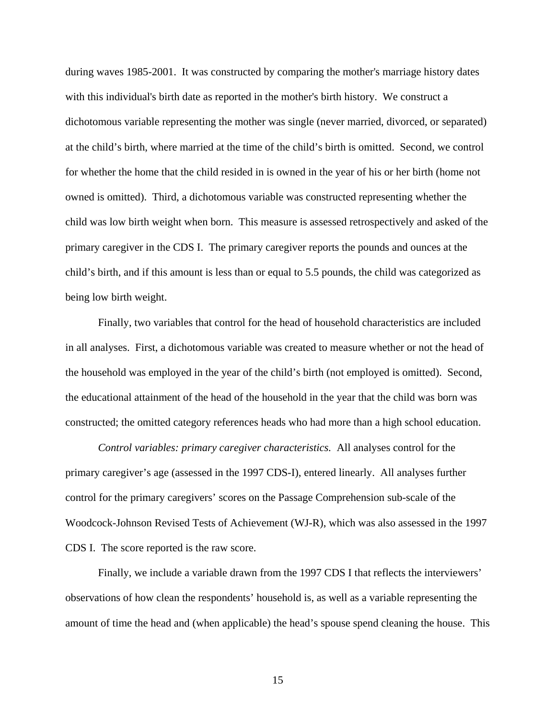during waves 1985-2001. It was constructed by comparing the mother's marriage history dates with this individual's birth date as reported in the mother's birth history. We construct a dichotomous variable representing the mother was single (never married, divorced, or separated) at the child's birth, where married at the time of the child's birth is omitted. Second, we control for whether the home that the child resided in is owned in the year of his or her birth (home not owned is omitted). Third, a dichotomous variable was constructed representing whether the child was low birth weight when born. This measure is assessed retrospectively and asked of the primary caregiver in the CDS I. The primary caregiver reports the pounds and ounces at the child's birth, and if this amount is less than or equal to 5.5 pounds, the child was categorized as being low birth weight.

Finally, two variables that control for the head of household characteristics are included in all analyses. First, a dichotomous variable was created to measure whether or not the head of the household was employed in the year of the child's birth (not employed is omitted). Second, the educational attainment of the head of the household in the year that the child was born was constructed; the omitted category references heads who had more than a high school education.

*Control variables: primary caregiver characteristics.* All analyses control for the primary caregiver's age (assessed in the 1997 CDS-I), entered linearly. All analyses further control for the primary caregivers' scores on the Passage Comprehension sub-scale of the Woodcock-Johnson Revised Tests of Achievement (WJ-R), which was also assessed in the 1997 CDS I. The score reported is the raw score.

Finally, we include a variable drawn from the 1997 CDS I that reflects the interviewers' observations of how clean the respondents' household is, as well as a variable representing the amount of time the head and (when applicable) the head's spouse spend cleaning the house. This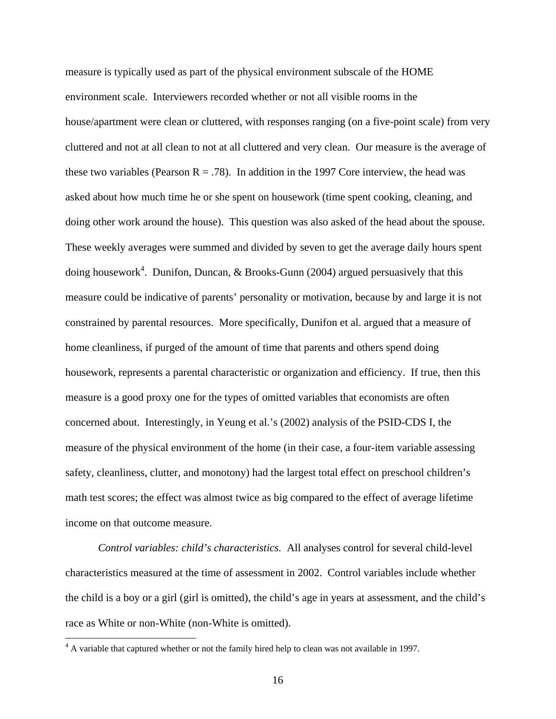measure is typically used as part of the physical environment subscale of the HOME environment scale. Interviewers recorded whether or not all visible rooms in the house/apartment were clean or cluttered, with responses ranging (on a five-point scale) from very cluttered and not at all clean to not at all cluttered and very clean. Our measure is the average of these two variables (Pearson  $R = .78$ ). In addition in the 1997 Core interview, the head was asked about how much time he or she spent on housework (time spent cooking, cleaning, and doing other work around the house). This question was also asked of the head about the spouse. These weekly averages were summed and divided by seven to get the average daily hours spent doing housework<sup>[4](#page-15-0)</sup>. Dunifon, Duncan, & Brooks-Gunn (2004) argued persuasively that this measure could be indicative of parents' personality or motivation, because by and large it is not constrained by parental resources. More specifically, Dunifon et al. argued that a measure of home cleanliness, if purged of the amount of time that parents and others spend doing housework, represents a parental characteristic or organization and efficiency. If true, then this measure is a good proxy one for the types of omitted variables that economists are often concerned about. Interestingly, in Yeung et al.'s (2002) analysis of the PSID-CDS I, the measure of the physical environment of the home (in their case, a four-item variable assessing safety, cleanliness, clutter, and monotony) had the largest total effect on preschool children's math test scores; the effect was almost twice as big compared to the effect of average lifetime income on that outcome measure.

*Control variables: child's characteristics.* All analyses control for several child-level characteristics measured at the time of assessment in 2002. Control variables include whether the child is a boy or a girl (girl is omitted), the child's age in years at assessment, and the child's race as White or non-White (non-White is omitted).

<u>.</u>

<span id="page-15-0"></span> $4 \text{ A variable that captured whether or not the family hired help to clean was not available in 1997.}$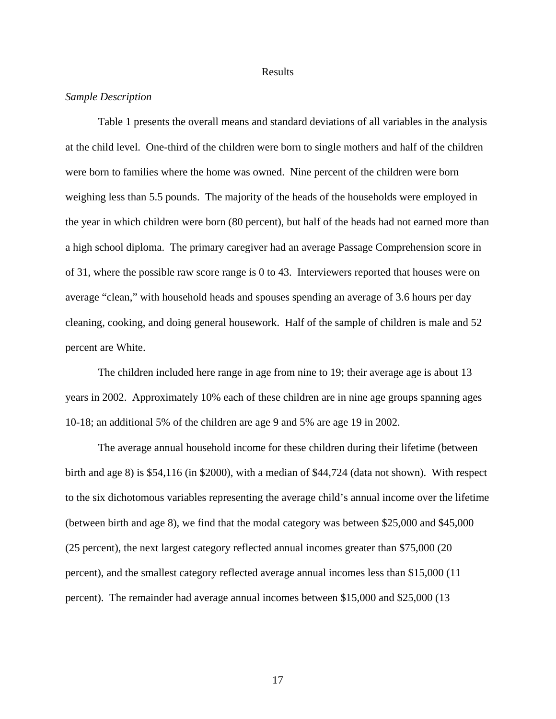#### Results

### *Sample Description*

Table 1 presents the overall means and standard deviations of all variables in the analysis at the child level. One-third of the children were born to single mothers and half of the children were born to families where the home was owned. Nine percent of the children were born weighing less than 5.5 pounds. The majority of the heads of the households were employed in the year in which children were born (80 percent), but half of the heads had not earned more than a high school diploma. The primary caregiver had an average Passage Comprehension score in of 31, where the possible raw score range is 0 to 43. Interviewers reported that houses were on average "clean," with household heads and spouses spending an average of 3.6 hours per day cleaning, cooking, and doing general housework. Half of the sample of children is male and 52 percent are White.

The children included here range in age from nine to 19; their average age is about 13 years in 2002. Approximately 10% each of these children are in nine age groups spanning ages 10-18; an additional 5% of the children are age 9 and 5% are age 19 in 2002.

The average annual household income for these children during their lifetime (between birth and age 8) is \$54,116 (in \$2000), with a median of \$44,724 (data not shown). With respect to the six dichotomous variables representing the average child's annual income over the lifetime (between birth and age 8), we find that the modal category was between \$25,000 and \$45,000 (25 percent), the next largest category reflected annual incomes greater than \$75,000 (20 percent), and the smallest category reflected average annual incomes less than \$15,000 (11 percent). The remainder had average annual incomes between \$15,000 and \$25,000 (13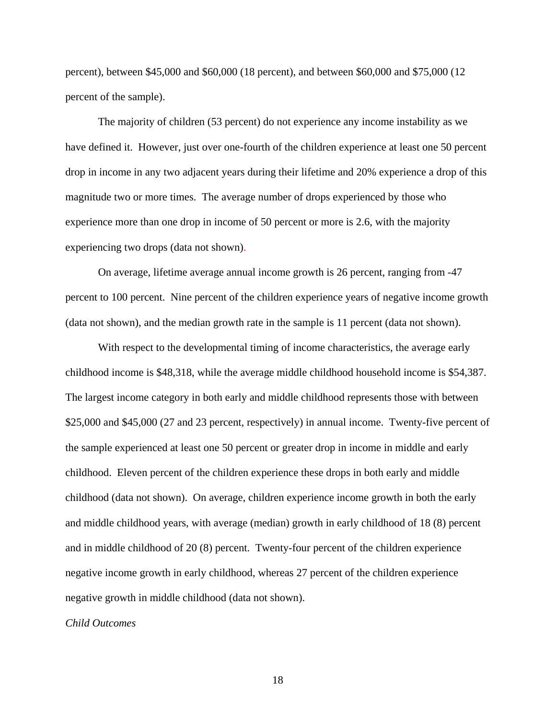percent), between \$45,000 and \$60,000 (18 percent), and between \$60,000 and \$75,000 (12 percent of the sample).

The majority of children (53 percent) do not experience any income instability as we have defined it. However, just over one-fourth of the children experience at least one 50 percent drop in income in any two adjacent years during their lifetime and 20% experience a drop of this magnitude two or more times. The average number of drops experienced by those who experience more than one drop in income of 50 percent or more is 2.6, with the majority experiencing two drops (data not shown).

On average, lifetime average annual income growth is 26 percent, ranging from -47 percent to 100 percent. Nine percent of the children experience years of negative income growth (data not shown), and the median growth rate in the sample is 11 percent (data not shown).

With respect to the developmental timing of income characteristics, the average early childhood income is \$48,318, while the average middle childhood household income is \$54,387. The largest income category in both early and middle childhood represents those with between \$25,000 and \$45,000 (27 and 23 percent, respectively) in annual income. Twenty-five percent of the sample experienced at least one 50 percent or greater drop in income in middle and early childhood. Eleven percent of the children experience these drops in both early and middle childhood (data not shown). On average, children experience income growth in both the early and middle childhood years, with average (median) growth in early childhood of 18 (8) percent and in middle childhood of 20 (8) percent. Twenty-four percent of the children experience negative income growth in early childhood, whereas 27 percent of the children experience negative growth in middle childhood (data not shown).

*Child Outcomes*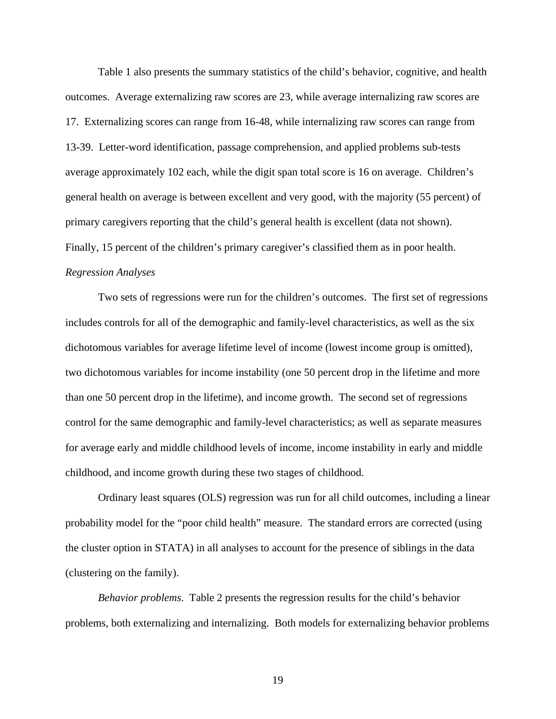Table 1 also presents the summary statistics of the child's behavior, cognitive, and health outcomes. Average externalizing raw scores are 23, while average internalizing raw scores are 17. Externalizing scores can range from 16-48, while internalizing raw scores can range from 13-39. Letter-word identification, passage comprehension, and applied problems sub-tests average approximately 102 each, while the digit span total score is 16 on average. Children's general health on average is between excellent and very good, with the majority (55 percent) of primary caregivers reporting that the child's general health is excellent (data not shown). Finally, 15 percent of the children's primary caregiver's classified them as in poor health. *Regression Analyses* 

Two sets of regressions were run for the children's outcomes. The first set of regressions includes controls for all of the demographic and family-level characteristics, as well as the six dichotomous variables for average lifetime level of income (lowest income group is omitted), two dichotomous variables for income instability (one 50 percent drop in the lifetime and more than one 50 percent drop in the lifetime), and income growth. The second set of regressions control for the same demographic and family-level characteristics; as well as separate measures for average early and middle childhood levels of income, income instability in early and middle childhood, and income growth during these two stages of childhood.

Ordinary least squares (OLS) regression was run for all child outcomes, including a linear probability model for the "poor child health" measure. The standard errors are corrected (using the cluster option in STATA) in all analyses to account for the presence of siblings in the data (clustering on the family).

*Behavior problems*. Table 2 presents the regression results for the child's behavior problems, both externalizing and internalizing. Both models for externalizing behavior problems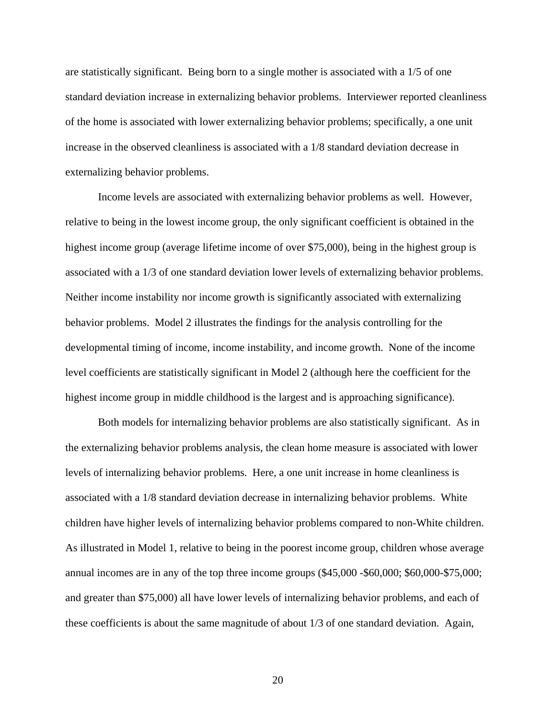are statistically significant. Being born to a single mother is associated with a 1/5 of one standard deviation increase in externalizing behavior problems. Interviewer reported cleanliness of the home is associated with lower externalizing behavior problems; specifically, a one unit increase in the observed cleanliness is associated with a 1/8 standard deviation decrease in externalizing behavior problems.

Income levels are associated with externalizing behavior problems as well. However, relative to being in the lowest income group, the only significant coefficient is obtained in the highest income group (average lifetime income of over \$75,000), being in the highest group is associated with a 1/3 of one standard deviation lower levels of externalizing behavior problems. Neither income instability nor income growth is significantly associated with externalizing behavior problems. Model 2 illustrates the findings for the analysis controlling for the developmental timing of income, income instability, and income growth. None of the income level coefficients are statistically significant in Model 2 (although here the coefficient for the highest income group in middle childhood is the largest and is approaching significance).

Both models for internalizing behavior problems are also statistically significant. As in the externalizing behavior problems analysis, the clean home measure is associated with lower levels of internalizing behavior problems. Here, a one unit increase in home cleanliness is associated with a 1/8 standard deviation decrease in internalizing behavior problems. White children have higher levels of internalizing behavior problems compared to non-White children. As illustrated in Model 1, relative to being in the poorest income group, children whose average annual incomes are in any of the top three income groups (\$45,000 -\$60,000; \$60,000-\$75,000; and greater than \$75,000) all have lower levels of internalizing behavior problems, and each of these coefficients is about the same magnitude of about 1/3 of one standard deviation. Again,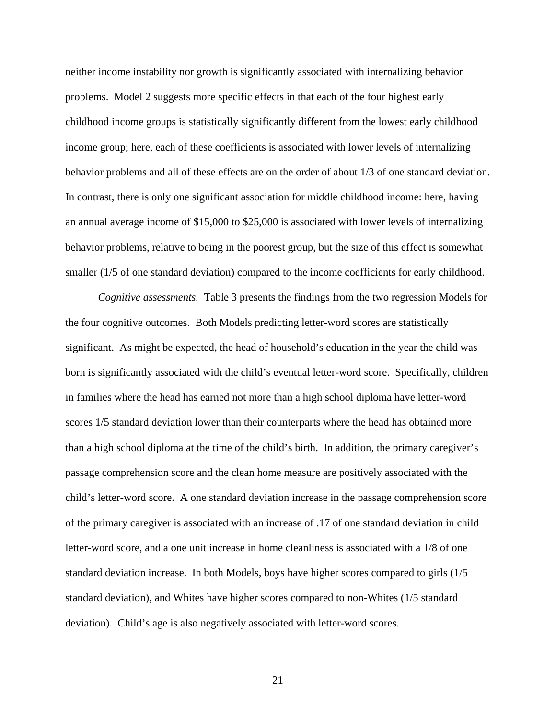neither income instability nor growth is significantly associated with internalizing behavior problems. Model 2 suggests more specific effects in that each of the four highest early childhood income groups is statistically significantly different from the lowest early childhood income group; here, each of these coefficients is associated with lower levels of internalizing behavior problems and all of these effects are on the order of about 1/3 of one standard deviation. In contrast, there is only one significant association for middle childhood income: here, having an annual average income of \$15,000 to \$25,000 is associated with lower levels of internalizing behavior problems, relative to being in the poorest group, but the size of this effect is somewhat smaller  $(1/5)$  of one standard deviation) compared to the income coefficients for early childhood.

*Cognitive assessments.* Table 3 presents the findings from the two regression Models for the four cognitive outcomes. Both Models predicting letter-word scores are statistically significant. As might be expected, the head of household's education in the year the child was born is significantly associated with the child's eventual letter-word score. Specifically, children in families where the head has earned not more than a high school diploma have letter-word scores 1/5 standard deviation lower than their counterparts where the head has obtained more than a high school diploma at the time of the child's birth. In addition, the primary caregiver's passage comprehension score and the clean home measure are positively associated with the child's letter-word score. A one standard deviation increase in the passage comprehension score of the primary caregiver is associated with an increase of .17 of one standard deviation in child letter-word score, and a one unit increase in home cleanliness is associated with a 1/8 of one standard deviation increase. In both Models, boys have higher scores compared to girls (1/5 standard deviation), and Whites have higher scores compared to non-Whites (1/5 standard deviation). Child's age is also negatively associated with letter-word scores.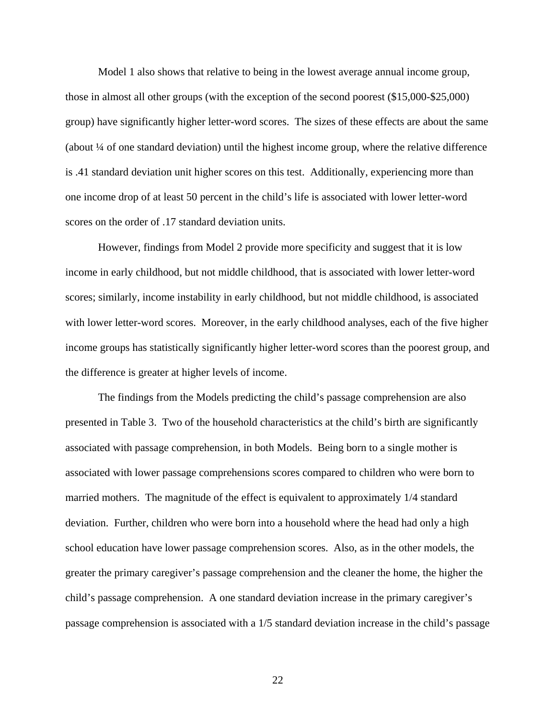Model 1 also shows that relative to being in the lowest average annual income group, those in almost all other groups (with the exception of the second poorest (\$15,000-\$25,000) group) have significantly higher letter-word scores. The sizes of these effects are about the same (about ¼ of one standard deviation) until the highest income group, where the relative difference is .41 standard deviation unit higher scores on this test. Additionally, experiencing more than one income drop of at least 50 percent in the child's life is associated with lower letter-word scores on the order of .17 standard deviation units.

However, findings from Model 2 provide more specificity and suggest that it is low income in early childhood, but not middle childhood, that is associated with lower letter-word scores; similarly, income instability in early childhood, but not middle childhood, is associated with lower letter-word scores. Moreover, in the early childhood analyses, each of the five higher income groups has statistically significantly higher letter-word scores than the poorest group, and the difference is greater at higher levels of income.

The findings from the Models predicting the child's passage comprehension are also presented in Table 3. Two of the household characteristics at the child's birth are significantly associated with passage comprehension, in both Models. Being born to a single mother is associated with lower passage comprehensions scores compared to children who were born to married mothers. The magnitude of the effect is equivalent to approximately 1/4 standard deviation. Further, children who were born into a household where the head had only a high school education have lower passage comprehension scores. Also, as in the other models, the greater the primary caregiver's passage comprehension and the cleaner the home, the higher the child's passage comprehension. A one standard deviation increase in the primary caregiver's passage comprehension is associated with a 1/5 standard deviation increase in the child's passage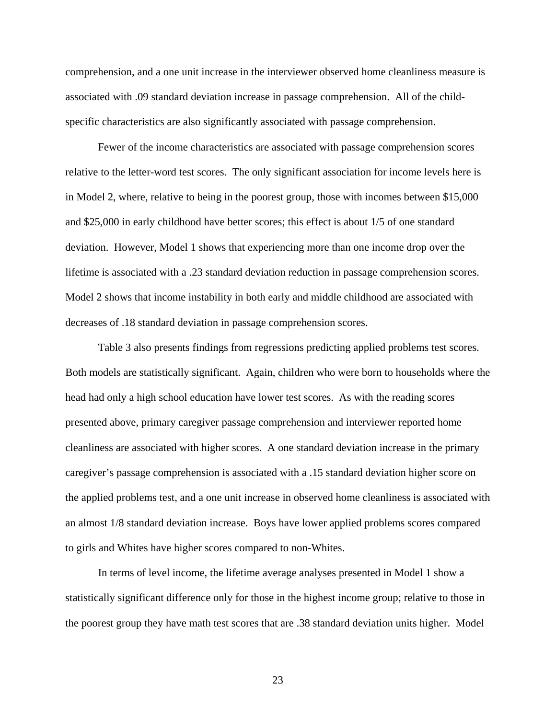comprehension, and a one unit increase in the interviewer observed home cleanliness measure is associated with .09 standard deviation increase in passage comprehension. All of the childspecific characteristics are also significantly associated with passage comprehension.

Fewer of the income characteristics are associated with passage comprehension scores relative to the letter-word test scores. The only significant association for income levels here is in Model 2, where, relative to being in the poorest group, those with incomes between \$15,000 and \$25,000 in early childhood have better scores; this effect is about 1/5 of one standard deviation. However, Model 1 shows that experiencing more than one income drop over the lifetime is associated with a .23 standard deviation reduction in passage comprehension scores. Model 2 shows that income instability in both early and middle childhood are associated with decreases of .18 standard deviation in passage comprehension scores.

Table 3 also presents findings from regressions predicting applied problems test scores. Both models are statistically significant. Again, children who were born to households where the head had only a high school education have lower test scores. As with the reading scores presented above, primary caregiver passage comprehension and interviewer reported home cleanliness are associated with higher scores. A one standard deviation increase in the primary caregiver's passage comprehension is associated with a .15 standard deviation higher score on the applied problems test, and a one unit increase in observed home cleanliness is associated with an almost 1/8 standard deviation increase. Boys have lower applied problems scores compared to girls and Whites have higher scores compared to non-Whites.

In terms of level income, the lifetime average analyses presented in Model 1 show a statistically significant difference only for those in the highest income group; relative to those in the poorest group they have math test scores that are .38 standard deviation units higher. Model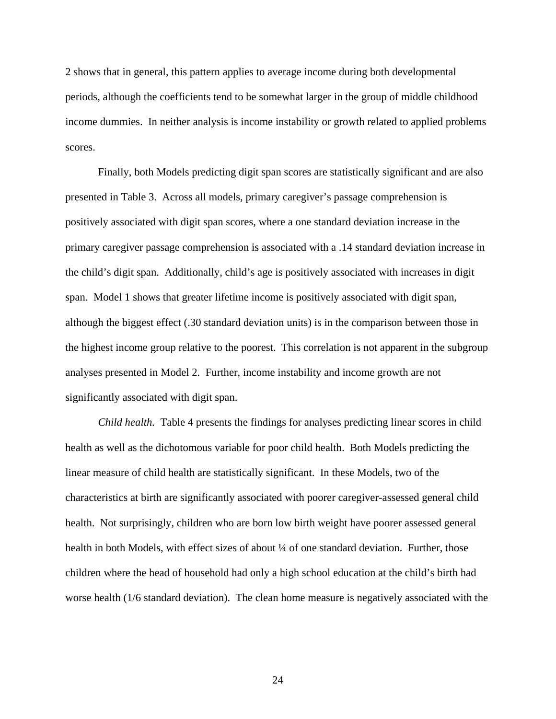2 shows that in general, this pattern applies to average income during both developmental periods, although the coefficients tend to be somewhat larger in the group of middle childhood income dummies. In neither analysis is income instability or growth related to applied problems scores.

Finally, both Models predicting digit span scores are statistically significant and are also presented in Table 3. Across all models, primary caregiver's passage comprehension is positively associated with digit span scores, where a one standard deviation increase in the primary caregiver passage comprehension is associated with a .14 standard deviation increase in the child's digit span. Additionally, child's age is positively associated with increases in digit span. Model 1 shows that greater lifetime income is positively associated with digit span, although the biggest effect (.30 standard deviation units) is in the comparison between those in the highest income group relative to the poorest. This correlation is not apparent in the subgroup analyses presented in Model 2. Further, income instability and income growth are not significantly associated with digit span.

*Child health.* Table 4 presents the findings for analyses predicting linear scores in child health as well as the dichotomous variable for poor child health. Both Models predicting the linear measure of child health are statistically significant. In these Models, two of the characteristics at birth are significantly associated with poorer caregiver-assessed general child health. Not surprisingly, children who are born low birth weight have poorer assessed general health in both Models, with effect sizes of about  $\frac{1}{4}$  of one standard deviation. Further, those children where the head of household had only a high school education at the child's birth had worse health (1/6 standard deviation). The clean home measure is negatively associated with the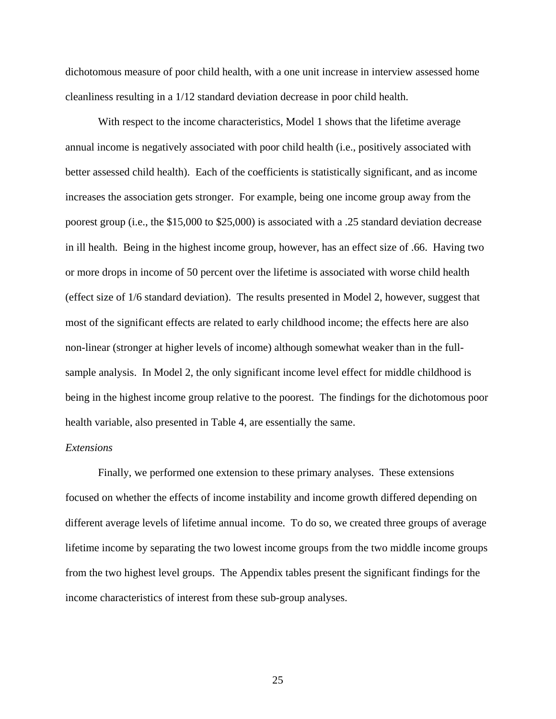dichotomous measure of poor child health, with a one unit increase in interview assessed home cleanliness resulting in a 1/12 standard deviation decrease in poor child health.

With respect to the income characteristics, Model 1 shows that the lifetime average annual income is negatively associated with poor child health (i.e., positively associated with better assessed child health). Each of the coefficients is statistically significant, and as income increases the association gets stronger. For example, being one income group away from the poorest group (i.e., the \$15,000 to \$25,000) is associated with a .25 standard deviation decrease in ill health. Being in the highest income group, however, has an effect size of .66. Having two or more drops in income of 50 percent over the lifetime is associated with worse child health (effect size of 1/6 standard deviation). The results presented in Model 2, however, suggest that most of the significant effects are related to early childhood income; the effects here are also non-linear (stronger at higher levels of income) although somewhat weaker than in the fullsample analysis. In Model 2, the only significant income level effect for middle childhood is being in the highest income group relative to the poorest. The findings for the dichotomous poor health variable, also presented in Table 4, are essentially the same.

### *Extensions*

Finally, we performed one extension to these primary analyses. These extensions focused on whether the effects of income instability and income growth differed depending on different average levels of lifetime annual income. To do so, we created three groups of average lifetime income by separating the two lowest income groups from the two middle income groups from the two highest level groups. The Appendix tables present the significant findings for the income characteristics of interest from these sub-group analyses.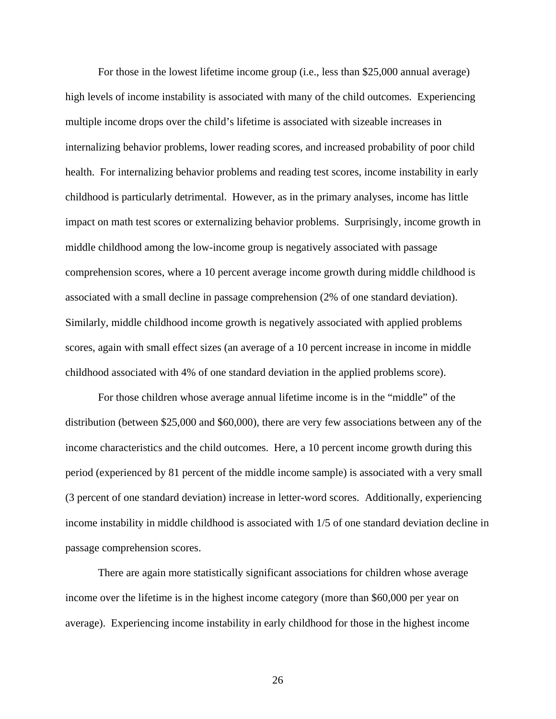For those in the lowest lifetime income group (i.e., less than \$25,000 annual average) high levels of income instability is associated with many of the child outcomes. Experiencing multiple income drops over the child's lifetime is associated with sizeable increases in internalizing behavior problems, lower reading scores, and increased probability of poor child health. For internalizing behavior problems and reading test scores, income instability in early childhood is particularly detrimental. However, as in the primary analyses, income has little impact on math test scores or externalizing behavior problems. Surprisingly, income growth in middle childhood among the low-income group is negatively associated with passage comprehension scores, where a 10 percent average income growth during middle childhood is associated with a small decline in passage comprehension (2% of one standard deviation). Similarly, middle childhood income growth is negatively associated with applied problems scores, again with small effect sizes (an average of a 10 percent increase in income in middle childhood associated with 4% of one standard deviation in the applied problems score).

For those children whose average annual lifetime income is in the "middle" of the distribution (between \$25,000 and \$60,000), there are very few associations between any of the income characteristics and the child outcomes. Here, a 10 percent income growth during this period (experienced by 81 percent of the middle income sample) is associated with a very small (3 percent of one standard deviation) increase in letter-word scores. Additionally, experiencing income instability in middle childhood is associated with 1/5 of one standard deviation decline in passage comprehension scores.

There are again more statistically significant associations for children whose average income over the lifetime is in the highest income category (more than \$60,000 per year on average). Experiencing income instability in early childhood for those in the highest income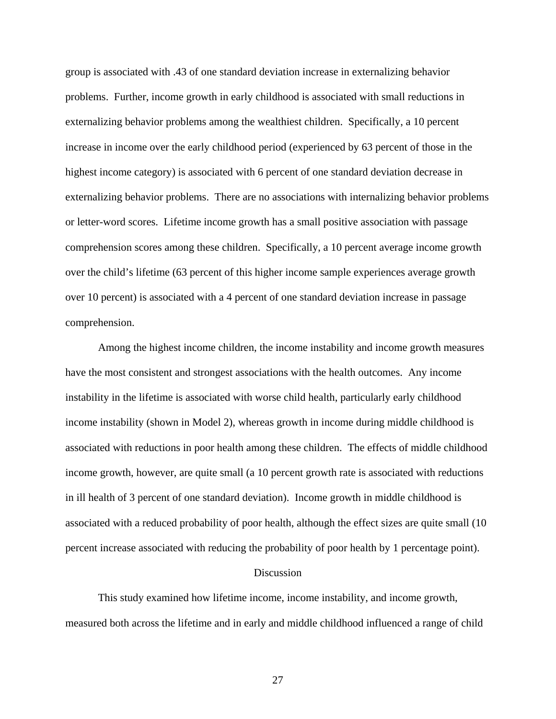group is associated with .43 of one standard deviation increase in externalizing behavior problems. Further, income growth in early childhood is associated with small reductions in externalizing behavior problems among the wealthiest children. Specifically, a 10 percent increase in income over the early childhood period (experienced by 63 percent of those in the highest income category) is associated with 6 percent of one standard deviation decrease in externalizing behavior problems. There are no associations with internalizing behavior problems or letter-word scores. Lifetime income growth has a small positive association with passage comprehension scores among these children. Specifically, a 10 percent average income growth over the child's lifetime (63 percent of this higher income sample experiences average growth over 10 percent) is associated with a 4 percent of one standard deviation increase in passage comprehension.

Among the highest income children, the income instability and income growth measures have the most consistent and strongest associations with the health outcomes. Any income instability in the lifetime is associated with worse child health, particularly early childhood income instability (shown in Model 2), whereas growth in income during middle childhood is associated with reductions in poor health among these children. The effects of middle childhood income growth, however, are quite small (a 10 percent growth rate is associated with reductions in ill health of 3 percent of one standard deviation). Income growth in middle childhood is associated with a reduced probability of poor health, although the effect sizes are quite small (10 percent increase associated with reducing the probability of poor health by 1 percentage point).

#### Discussion

This study examined how lifetime income, income instability, and income growth, measured both across the lifetime and in early and middle childhood influenced a range of child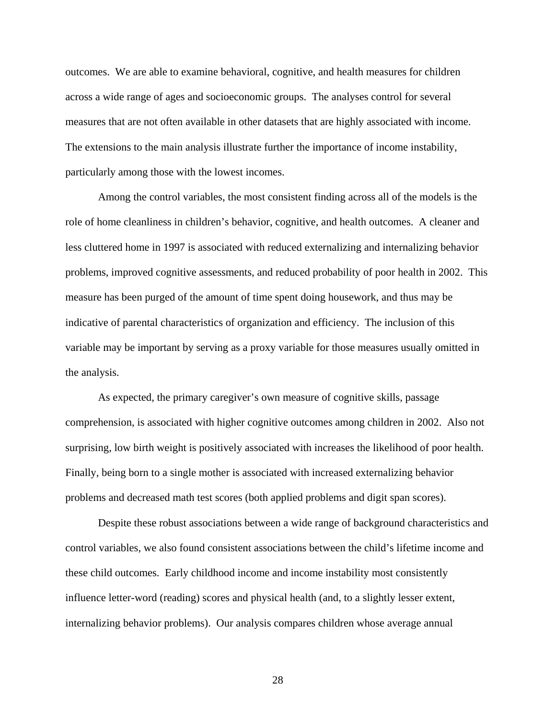outcomes. We are able to examine behavioral, cognitive, and health measures for children across a wide range of ages and socioeconomic groups. The analyses control for several measures that are not often available in other datasets that are highly associated with income. The extensions to the main analysis illustrate further the importance of income instability, particularly among those with the lowest incomes.

Among the control variables, the most consistent finding across all of the models is the role of home cleanliness in children's behavior, cognitive, and health outcomes. A cleaner and less cluttered home in 1997 is associated with reduced externalizing and internalizing behavior problems, improved cognitive assessments, and reduced probability of poor health in 2002. This measure has been purged of the amount of time spent doing housework, and thus may be indicative of parental characteristics of organization and efficiency. The inclusion of this variable may be important by serving as a proxy variable for those measures usually omitted in the analysis.

As expected, the primary caregiver's own measure of cognitive skills, passage comprehension, is associated with higher cognitive outcomes among children in 2002. Also not surprising, low birth weight is positively associated with increases the likelihood of poor health. Finally, being born to a single mother is associated with increased externalizing behavior problems and decreased math test scores (both applied problems and digit span scores).

Despite these robust associations between a wide range of background characteristics and control variables, we also found consistent associations between the child's lifetime income and these child outcomes. Early childhood income and income instability most consistently influence letter-word (reading) scores and physical health (and, to a slightly lesser extent, internalizing behavior problems). Our analysis compares children whose average annual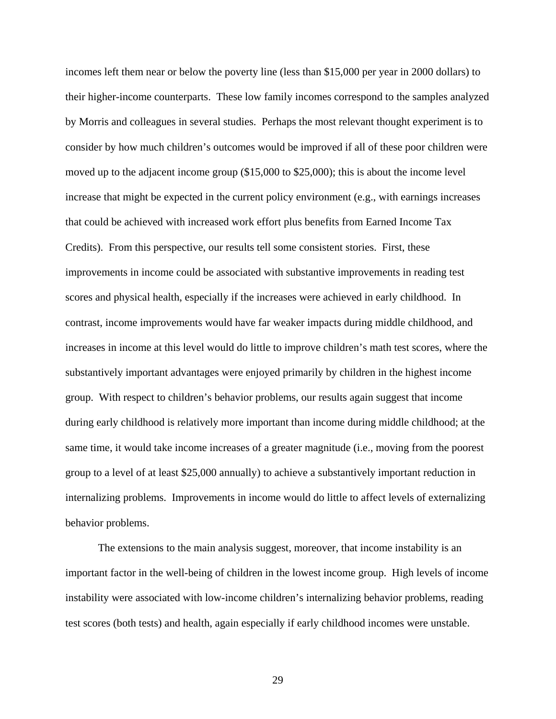incomes left them near or below the poverty line (less than \$15,000 per year in 2000 dollars) to their higher-income counterparts. These low family incomes correspond to the samples analyzed by Morris and colleagues in several studies. Perhaps the most relevant thought experiment is to consider by how much children's outcomes would be improved if all of these poor children were moved up to the adjacent income group (\$15,000 to \$25,000); this is about the income level increase that might be expected in the current policy environment (e.g., with earnings increases that could be achieved with increased work effort plus benefits from Earned Income Tax Credits). From this perspective, our results tell some consistent stories. First, these improvements in income could be associated with substantive improvements in reading test scores and physical health, especially if the increases were achieved in early childhood. In contrast, income improvements would have far weaker impacts during middle childhood, and increases in income at this level would do little to improve children's math test scores, where the substantively important advantages were enjoyed primarily by children in the highest income group. With respect to children's behavior problems, our results again suggest that income during early childhood is relatively more important than income during middle childhood; at the same time, it would take income increases of a greater magnitude (i.e., moving from the poorest group to a level of at least \$25,000 annually) to achieve a substantively important reduction in internalizing problems. Improvements in income would do little to affect levels of externalizing behavior problems.

The extensions to the main analysis suggest, moreover, that income instability is an important factor in the well-being of children in the lowest income group. High levels of income instability were associated with low-income children's internalizing behavior problems, reading test scores (both tests) and health, again especially if early childhood incomes were unstable.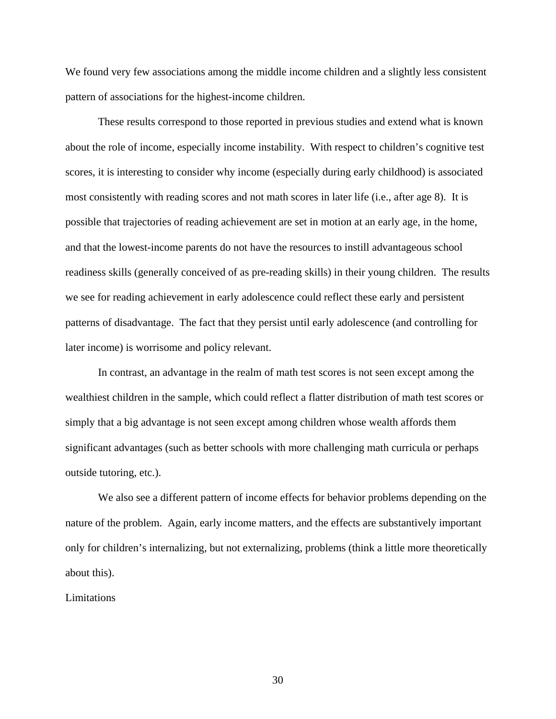We found very few associations among the middle income children and a slightly less consistent pattern of associations for the highest-income children.

These results correspond to those reported in previous studies and extend what is known about the role of income, especially income instability. With respect to children's cognitive test scores, it is interesting to consider why income (especially during early childhood) is associated most consistently with reading scores and not math scores in later life (i.e., after age 8). It is possible that trajectories of reading achievement are set in motion at an early age, in the home, and that the lowest-income parents do not have the resources to instill advantageous school readiness skills (generally conceived of as pre-reading skills) in their young children. The results we see for reading achievement in early adolescence could reflect these early and persistent patterns of disadvantage. The fact that they persist until early adolescence (and controlling for later income) is worrisome and policy relevant.

In contrast, an advantage in the realm of math test scores is not seen except among the wealthiest children in the sample, which could reflect a flatter distribution of math test scores or simply that a big advantage is not seen except among children whose wealth affords them significant advantages (such as better schools with more challenging math curricula or perhaps outside tutoring, etc.).

We also see a different pattern of income effects for behavior problems depending on the nature of the problem. Again, early income matters, and the effects are substantively important only for children's internalizing, but not externalizing, problems (think a little more theoretically about this).

Limitations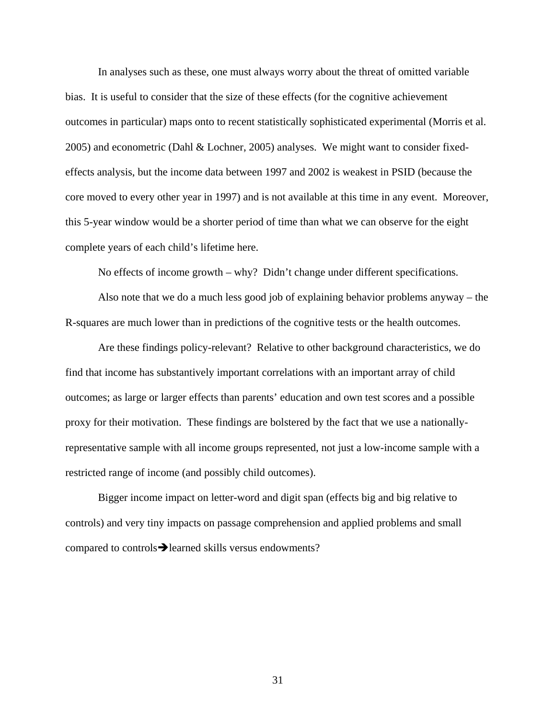In analyses such as these, one must always worry about the threat of omitted variable bias. It is useful to consider that the size of these effects (for the cognitive achievement outcomes in particular) maps onto to recent statistically sophisticated experimental (Morris et al. 2005) and econometric (Dahl & Lochner, 2005) analyses. We might want to consider fixedeffects analysis, but the income data between 1997 and 2002 is weakest in PSID (because the core moved to every other year in 1997) and is not available at this time in any event. Moreover, this 5-year window would be a shorter period of time than what we can observe for the eight complete years of each child's lifetime here.

No effects of income growth – why? Didn't change under different specifications.

Also note that we do a much less good job of explaining behavior problems anyway – the R-squares are much lower than in predictions of the cognitive tests or the health outcomes.

Are these findings policy-relevant? Relative to other background characteristics, we do find that income has substantively important correlations with an important array of child outcomes; as large or larger effects than parents' education and own test scores and a possible proxy for their motivation. These findings are bolstered by the fact that we use a nationallyrepresentative sample with all income groups represented, not just a low-income sample with a restricted range of income (and possibly child outcomes).

Bigger income impact on letter-word and digit span (effects big and big relative to controls) and very tiny impacts on passage comprehension and applied problems and small compared to controls  $\rightarrow$  learned skills versus endowments?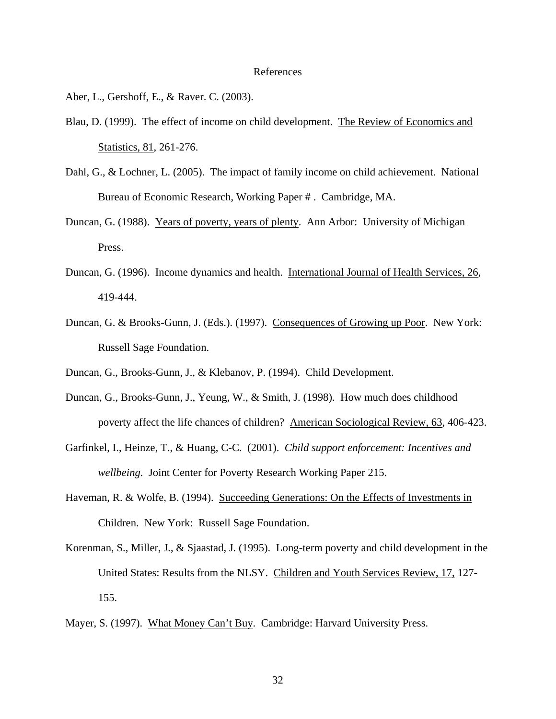#### References

Aber, L., Gershoff, E., & Raver. C. (2003).

- Blau, D. (1999). The effect of income on child development. The Review of Economics and Statistics, 81, 261-276.
- Dahl, G., & Lochner, L. (2005). The impact of family income on child achievement. National Bureau of Economic Research, Working Paper # . Cambridge, MA.
- Duncan, G. (1988). Years of poverty, years of plenty. Ann Arbor: University of Michigan Press.
- Duncan, G. (1996). Income dynamics and health. International Journal of Health Services, 26, 419-444.
- Duncan, G. & Brooks-Gunn, J. (Eds.). (1997). Consequences of Growing up Poor. New York: Russell Sage Foundation.
- Duncan, G., Brooks-Gunn, J., & Klebanov, P. (1994). Child Development.
- Duncan, G., Brooks-Gunn, J., Yeung, W., & Smith, J. (1998). How much does childhood poverty affect the life chances of children? American Sociological Review, 63, 406-423.
- Garfinkel, I., Heinze, T., & Huang, C-C. (2001). *Child support enforcement: Incentives and wellbeing.* Joint Center for Poverty Research Working Paper 215.
- Haveman, R. & Wolfe, B. (1994). Succeeding Generations: On the Effects of Investments in Children. New York: Russell Sage Foundation.
- Korenman, S., Miller, J., & Sjaastad, J. (1995). Long-term poverty and child development in the United States: Results from the NLSY. Children and Youth Services Review, 17, 127- 155.
- Mayer, S. (1997). What Money Can't Buy. Cambridge: Harvard University Press.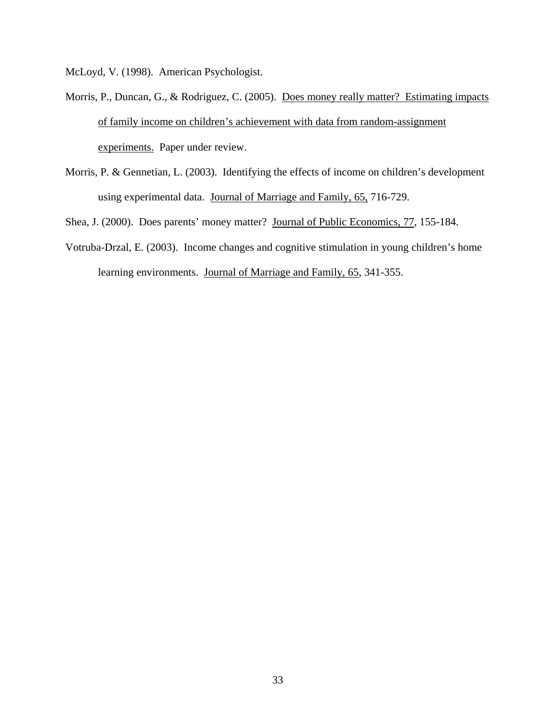McLoyd, V. (1998). American Psychologist.

- Morris, P., Duncan, G., & Rodriguez, C. (2005). Does money really matter? Estimating impacts of family income on children's achievement with data from random-assignment experiments. Paper under review.
- Morris, P. & Gennetian, L. (2003). Identifying the effects of income on children's development using experimental data. Journal of Marriage and Family, 65, 716-729.

Shea, J. (2000). Does parents' money matter? Journal of Public Economics, 77, 155-184.

Votruba-Drzal, E. (2003). Income changes and cognitive stimulation in young children's home learning environments. Journal of Marriage and Family, 65, 341-355.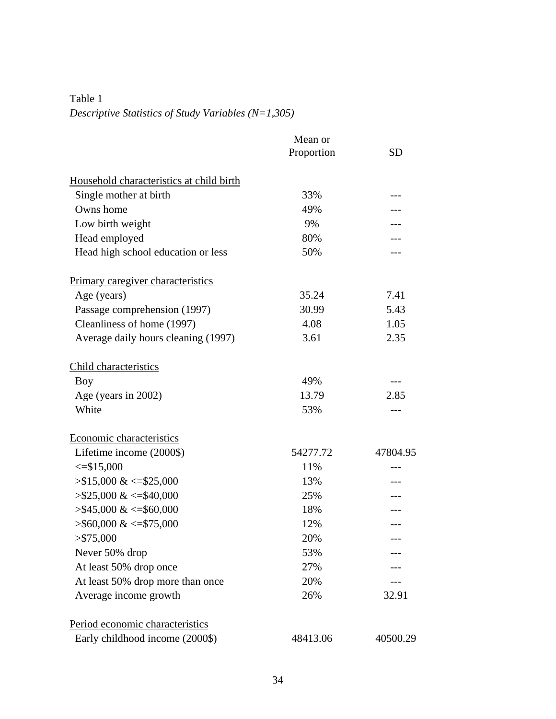Table 1 *Descriptive Statistics of Study Variables (N=1,305)*

|                                          | Mean or    |           |
|------------------------------------------|------------|-----------|
|                                          | Proportion | <b>SD</b> |
| Household characteristics at child birth |            |           |
| Single mother at birth                   | 33%        |           |
| Owns home                                | 49%        |           |
| Low birth weight                         | 9%         |           |
| Head employed                            | 80%        |           |
| Head high school education or less       | 50%        |           |
| <b>Primary caregiver characteristics</b> |            |           |
| Age (years)                              | 35.24      | 7.41      |
| Passage comprehension (1997)             | 30.99      | 5.43      |
| Cleanliness of home (1997)               | 4.08       | 1.05      |
| Average daily hours cleaning (1997)      | 3.61       | 2.35      |
| Child characteristics                    |            |           |
| <b>Boy</b>                               | 49%        | ---       |
| Age (years in 2002)                      | 13.79      | 2.85      |
| White                                    | 53%        | ---       |
| Economic characteristics                 |            |           |
| Lifetime income (2000\$)                 | 54277.72   | 47804.95  |
| $\leq$ \$15,000                          | 11%        | ---       |
| $> $15,000 \<= $25,000$                  | 13%        |           |
| $> $25,000 \<= $40,000$                  | 25%        | ---       |
| $>$ \$45,000 & <=\$60,000                | 18%        |           |
| $>$ \$60,000 & <=\$75,000                | 12%        |           |
| $>$ \$75,000                             | 20%        |           |
| Never 50% drop                           | 53%        |           |
| At least 50% drop once                   | 27%        |           |
| At least 50% drop more than once         | 20%        |           |
| Average income growth                    | 26%        | 32.91     |
| Period economic characteristics          |            |           |
| Early childhood income (2000\$)          | 48413.06   | 40500.29  |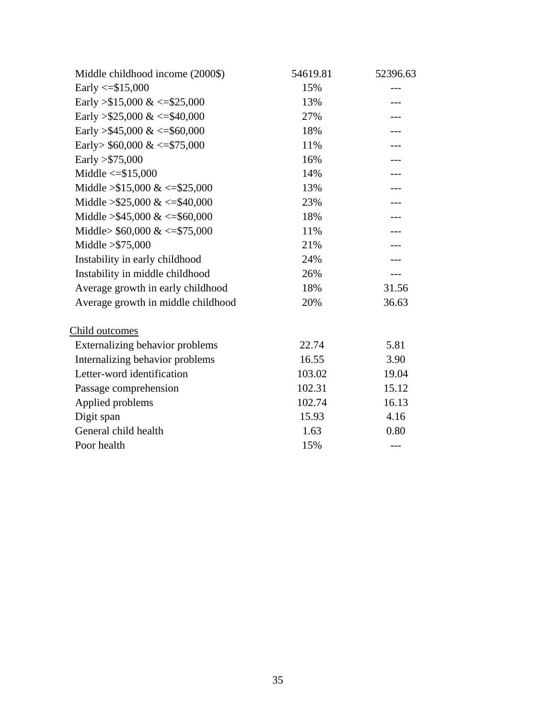| Middle childhood income (2000\$)   | 54619.81 | 52396.63 |
|------------------------------------|----------|----------|
| Early $\le$ \$15,000               | 15%      |          |
| Early > \$15,000 & <= \$25,000     | 13%      |          |
| Early > \$25,000 & <= \$40,000     | 27%      |          |
| Early > \$45,000 & <= \$60,000     | 18%      |          |
| Early> $$60,000 \<= $75,000$       | 11%      |          |
| Early $> $75,000$                  | 16%      |          |
| Middle $\le$ = \$15,000            | 14%      |          |
| Middle $> $15,000 \<= $25,000$     | 13%      |          |
| Middle > $$25,000 \<= $40,000$     | 23%      |          |
| Middle > \$45,000 & <= \$60,000    | 18%      |          |
| Middle> $$60,000 \<= $75,000$      | 11%      |          |
| Middle $> $75,000$                 | 21%      |          |
| Instability in early childhood     | 24%      |          |
| Instability in middle childhood    | 26%      | ---      |
| Average growth in early childhood  | 18%      | 31.56    |
| Average growth in middle childhood | 20%      | 36.63    |
| Child outcomes                     |          |          |
| Externalizing behavior problems    | 22.74    | 5.81     |
| Internalizing behavior problems    | 16.55    | 3.90     |
| Letter-word identification         | 103.02   | 19.04    |
| Passage comprehension              | 102.31   | 15.12    |
| Applied problems                   | 102.74   | 16.13    |
| Digit span                         | 15.93    | 4.16     |
| General child health               | 1.63     | 0.80     |
| Poor health                        | 15%      | ---      |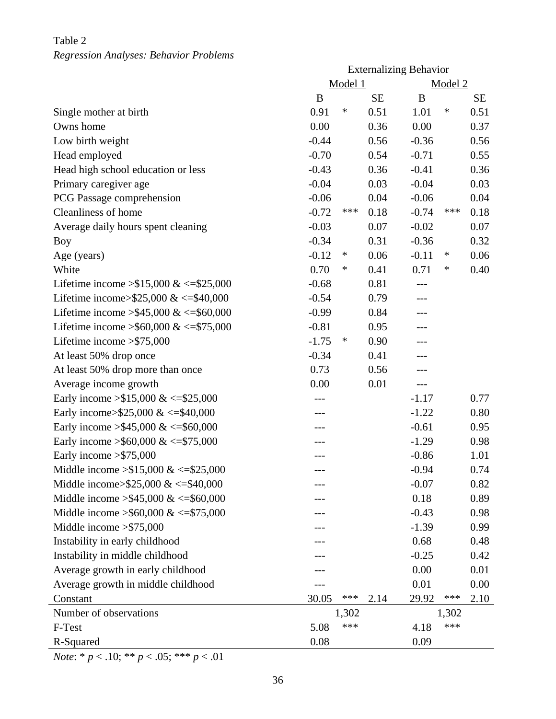## Table 2

## *Regression Analyses: Behavior Problems*

|                                          | <b>Externalizing Behavior</b> |         |           |         |        |           |
|------------------------------------------|-------------------------------|---------|-----------|---------|--------|-----------|
|                                          | Model 1                       | Model 2 |           |         |        |           |
|                                          | B                             |         | <b>SE</b> | B       |        | <b>SE</b> |
| Single mother at birth                   | 0.91                          | $\ast$  | 0.51      | 1.01    | $\ast$ | 0.51      |
| Owns home                                | 0.00                          |         | 0.36      | 0.00    |        | 0.37      |
| Low birth weight                         | $-0.44$                       |         | 0.56      | $-0.36$ |        | 0.56      |
| Head employed                            | $-0.70$                       |         | 0.54      | $-0.71$ |        | 0.55      |
| Head high school education or less       | $-0.43$                       |         | 0.36      | $-0.41$ |        | 0.36      |
| Primary caregiver age                    | $-0.04$                       |         | 0.03      | $-0.04$ |        | 0.03      |
| PCG Passage comprehension                | $-0.06$                       |         | 0.04      | $-0.06$ |        | 0.04      |
| Cleanliness of home                      | $-0.72$                       | ***     | 0.18      | $-0.74$ | ***    | 0.18      |
| Average daily hours spent cleaning       | $-0.03$                       |         | 0.07      | $-0.02$ |        | 0.07      |
| Boy                                      | $-0.34$                       |         | 0.31      | $-0.36$ |        | 0.32      |
| Age (years)                              | $-0.12$                       | $\ast$  | 0.06      | $-0.11$ | $\ast$ | 0.06      |
| White                                    | 0.70                          | $\ast$  | 0.41      | 0.71    | $\ast$ | 0.40      |
| Lifetime income > \$15,000 & <= \$25,000 | $-0.68$                       |         | 0.81      |         |        |           |
| Lifetime income>\$25,000 & <= \$40,000   | $-0.54$                       |         | 0.79      |         |        |           |
| Lifetime income > \$45,000 & <= \$60,000 | $-0.99$                       |         | 0.84      | $---$   |        |           |
| Lifetime income > \$60,000 & <= \$75,000 | $-0.81$                       |         | 0.95      | ---     |        |           |
| Lifetime income > \$75,000               | $-1.75$                       | $\ast$  | 0.90      |         |        |           |
| At least 50% drop once                   | $-0.34$                       |         | 0.41      |         |        |           |
| At least 50% drop more than once         | 0.73                          |         | 0.56      | $---$   |        |           |
| Average income growth                    | 0.00                          |         | 0.01      | $---$   |        |           |
| Early income $> $15,000 \<= $25,000$     |                               |         |           | $-1.17$ |        | 0.77      |
| Early income>\$25,000 & <=\$40,000       | ---                           |         |           | $-1.22$ |        | 0.80      |
| Early income > \$45,000 & <= \$60,000    |                               |         |           | $-0.61$ |        | 0.95      |
| Early income > \$60,000 & <= \$75,000    |                               |         |           | $-1.29$ |        | 0.98      |
| Early income $>\$ 575,000                | ---                           |         |           | $-0.86$ |        | 1.01      |
| Middle income $> $15,000 \<= $25,000$    |                               |         |           | $-0.94$ |        | 0.74      |
| Middle income> $$25,000 \<= $40,000$     |                               |         |           | $-0.07$ |        | 0.82      |
| Middle income $> $45,000 \<= $60,000$    |                               |         |           | 0.18    |        | 0.89      |
| Middle income > \$60,000 & <= \$75,000   |                               |         |           | $-0.43$ |        | 0.98      |
| Middle income $>\$ 575,000               |                               |         |           | $-1.39$ |        | 0.99      |
| Instability in early childhood           |                               |         |           | 0.68    |        | 0.48      |
| Instability in middle childhood          |                               |         |           | $-0.25$ |        | 0.42      |
| Average growth in early childhood        |                               |         |           | 0.00    |        | 0.01      |
| Average growth in middle childhood       |                               |         |           | 0.01    |        | 0.00      |
| Constant                                 | 30.05                         | ***     | 2.14      | 29.92   | ***    | 2.10      |
| Number of observations                   |                               | 1,302   |           |         | 1,302  |           |
| F-Test                                   | 5.08                          | ***     |           | 4.18    | ***    |           |
| R-Squared                                | 0.08                          |         |           | 0.09    |        |           |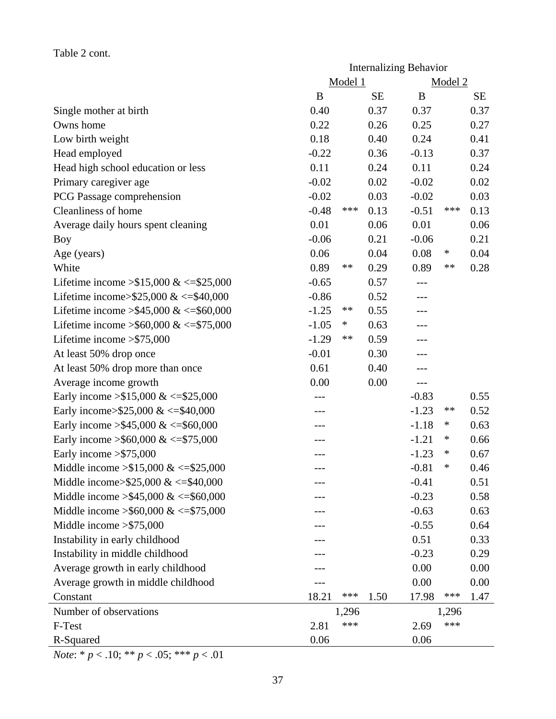## Table 2 cont.

|                                            | <b>Internalizing Behavior</b> |                    |           |         |         |           |  |
|--------------------------------------------|-------------------------------|--------------------|-----------|---------|---------|-----------|--|
|                                            |                               | Model 1            |           |         | Model 2 |           |  |
|                                            | B                             |                    | <b>SE</b> | B       |         | <b>SE</b> |  |
| Single mother at birth                     | 0.40                          |                    | 0.37      | 0.37    |         | 0.37      |  |
| Owns home                                  | 0.22                          |                    | 0.26      | 0.25    |         | 0.27      |  |
| Low birth weight                           | 0.18                          |                    | 0.40      | 0.24    |         | 0.41      |  |
| Head employed                              | $-0.22$                       |                    | 0.36      | $-0.13$ |         | 0.37      |  |
| Head high school education or less         | 0.11                          |                    | 0.24      | 0.11    |         | 0.24      |  |
| Primary caregiver age                      | $-0.02$                       |                    | 0.02      | $-0.02$ |         | 0.02      |  |
| PCG Passage comprehension                  | $-0.02$                       |                    | 0.03      | $-0.02$ |         | 0.03      |  |
| Cleanliness of home                        | $-0.48$                       | $\ast\!\ast\!\ast$ | 0.13      | $-0.51$ | ***     | 0.13      |  |
| Average daily hours spent cleaning         | 0.01                          |                    | 0.06      | 0.01    |         | 0.06      |  |
| Boy                                        | $-0.06$                       |                    | 0.21      | $-0.06$ |         | 0.21      |  |
| Age (years)                                | 0.06                          |                    | 0.04      | 0.08    | $\ast$  | 0.04      |  |
| White                                      | 0.89                          | **                 | 0.29      | 0.89    | **      | 0.28      |  |
| Lifetime income $> $15,000 \<= $25,000$    | $-0.65$                       |                    | 0.57      | $---$   |         |           |  |
| Lifetime income>\$25,000 & <= \$40,000     | $-0.86$                       |                    | 0.52      |         |         |           |  |
| Lifetime income > \$45,000 & <= \$60,000   | $-1.25$                       | **                 | 0.55      |         |         |           |  |
| Lifetime income > \$60,000 & <= \$75,000   | $-1.05$                       | $\ast$             | 0.63      | ---     |         |           |  |
| Lifetime income $>\$ 575,000               | $-1.29$                       | $\ast\ast$         | 0.59      |         |         |           |  |
| At least 50% drop once                     | $-0.01$                       |                    | 0.30      |         |         |           |  |
| At least 50% drop more than once           | 0.61                          |                    | 0.40      |         |         |           |  |
| Average income growth                      | 0.00                          |                    | 0.00      | $---$   |         |           |  |
| Early income $> $15,000 \<= $25,000$       |                               |                    |           | $-0.83$ |         | 0.55      |  |
| Early income>\$25,000 & <= \$40,000        |                               |                    |           | $-1.23$ | **      | 0.52      |  |
| Early income > \$45,000 & <= \$60,000      | ---                           |                    |           | $-1.18$ | $\ast$  | 0.63      |  |
| Early income > \$60,000 & <= \$75,000      |                               |                    |           | $-1.21$ | $\ast$  | 0.66      |  |
| Early income $>\$ 575,000                  |                               |                    |           | $-1.23$ | ∗       | 0.67      |  |
| Middle income $>15,000 \<=15,000$          | ---                           |                    |           | $-0.81$ | ∗       | 0.46      |  |
| Middle income> $$25,000 \<= $40,000$       |                               |                    |           | $-0.41$ |         | 0.51      |  |
| Middle income $> $45,000 \<= $60,000$      |                               |                    |           | $-0.23$ |         | 0.58      |  |
| Middle income $\geq$ \$60,000 & <=\$75,000 |                               |                    |           | $-0.63$ |         | 0.63      |  |
| Middle income $>\$ 575,000                 |                               |                    |           | $-0.55$ |         | 0.64      |  |
| Instability in early childhood             |                               |                    |           | 0.51    |         | 0.33      |  |
| Instability in middle childhood            |                               |                    |           | $-0.23$ |         | 0.29      |  |
| Average growth in early childhood          |                               |                    |           | 0.00    |         | 0.00      |  |
| Average growth in middle childhood         |                               |                    |           | 0.00    |         | 0.00      |  |
| Constant                                   | 18.21                         | ***                | 1.50      | 17.98   | ***     | 1.47      |  |
| Number of observations                     |                               | 1,296              |           |         | 1,296   |           |  |
| F-Test                                     | 2.81                          | ***                |           | 2.69    | ***     |           |  |
| R-Squared                                  | 0.06                          |                    |           | 0.06    |         |           |  |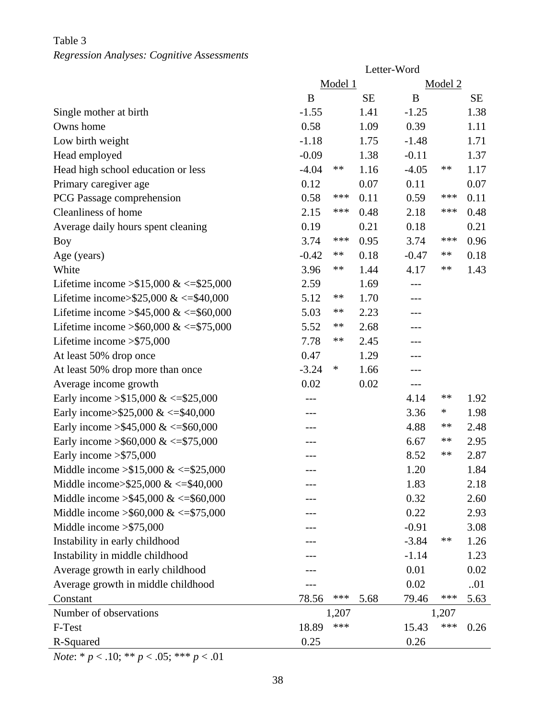# Table 3 *Regression Analyses: Cognitive Assessments*

|                                          | Letter-Word |       |           |         |            |           |
|------------------------------------------|-------------|-------|-----------|---------|------------|-----------|
|                                          | Model 1     |       |           | Model 2 |            |           |
|                                          | B           |       | <b>SE</b> | B       |            | <b>SE</b> |
| Single mother at birth                   | $-1.55$     |       | 1.41      | $-1.25$ |            | 1.38      |
| Owns home                                | 0.58        |       | 1.09      | 0.39    |            | 1.11      |
| Low birth weight                         | $-1.18$     |       | 1.75      | $-1.48$ |            | 1.71      |
| Head employed                            | $-0.09$     |       | 1.38      | $-0.11$ |            | 1.37      |
| Head high school education or less       | $-4.04$     | **    | 1.16      | $-4.05$ | **         | 1.17      |
| Primary caregiver age                    | 0.12        |       | 0.07      | 0.11    |            | 0.07      |
| PCG Passage comprehension                | 0.58        | ***   | 0.11      | 0.59    | ***        | 0.11      |
| Cleanliness of home                      | 2.15        | ***   | 0.48      | 2.18    | ***        | 0.48      |
| Average daily hours spent cleaning       | 0.19        |       | 0.21      | 0.18    |            | 0.21      |
| Boy                                      | 3.74        | ***   | 0.95      | 3.74    | ***        | 0.96      |
| Age (years)                              | $-0.42$     | $***$ | 0.18      | $-0.47$ | **         | 0.18      |
| White                                    | 3.96        | **    | 1.44      | 4.17    | $***$      | 1.43      |
| Lifetime income $> $15,000 \<= $25,000$  | 2.59        |       | 1.69      |         |            |           |
| Lifetime income> $$25,000 \<= $40,000$   | 5.12        | **    | 1.70      |         |            |           |
| Lifetime income > \$45,000 & <= \$60,000 | 5.03        | **    | 2.23      | $---$   |            |           |
| Lifetime income > \$60,000 & <= \$75,000 | 5.52        | **    | 2.68      |         |            |           |
| Lifetime income $>\$ 575,000             | 7.78        | **    | 2.45      |         |            |           |
| At least 50% drop once                   | 0.47        |       | 1.29      |         |            |           |
| At least 50% drop more than once         | $-3.24$     | ∗     | 1.66      | ---     |            |           |
| Average income growth                    | 0.02        |       | 0.02      | $---$   |            |           |
| Early income $> $15,000 \<= $25,000$     | ---         |       |           | 4.14    | $\ast\ast$ | 1.92      |
| Early income>\$25,000 & <=\$40,000       | ---         |       |           | 3.36    | $\ast$     | 1.98      |
| Early income > \$45,000 & <= \$60,000    |             |       |           | 4.88    | **         | 2.48      |
| Early income > \$60,000 & <= \$75,000    | ---         |       |           | 6.67    | **         | 2.95      |
| Early income $>\$ 575,000                | ---         |       |           | 8.52    | $\ast\ast$ | 2.87      |
| Middle income $> $15,000 \<= $25,000$    |             |       |           | 1.20    |            | 1.84      |
| Middle income> $$25,000 \<= $40,000$     |             |       |           | 1.83    |            | 2.18      |
| Middle income $> $45,000 \<= $60,000$    |             |       |           | 0.32    |            | 2.60      |
| Middle income > \$60,000 & <= \$75,000   |             |       |           | 0.22    |            | 2.93      |
| Middle income $>\$ 575,000               |             |       |           | $-0.91$ |            | 3.08      |
| Instability in early childhood           |             |       |           | $-3.84$ | **         | 1.26      |
| Instability in middle childhood          |             |       |           | $-1.14$ |            | 1.23      |
| Average growth in early childhood        |             |       |           | 0.01    |            | 0.02      |
| Average growth in middle childhood       |             |       |           | 0.02    |            | 01        |
| Constant                                 | 78.56       | ***   | 5.68      | 79.46   | ***        | 5.63      |
| Number of observations                   |             | 1,207 |           |         | 1,207      |           |
| F-Test                                   | 18.89       | ***   |           | 15.43   | ***        | 0.26      |
| R-Squared                                | 0.25        |       |           | 0.26    |            |           |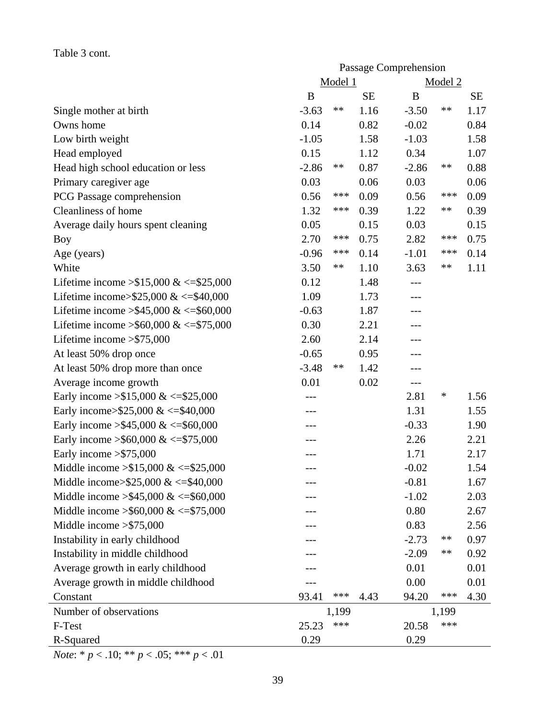# Table 3 cont.

|                                            | Passage Comprehension |         |           |         |         |           |
|--------------------------------------------|-----------------------|---------|-----------|---------|---------|-----------|
|                                            |                       | Model 1 |           |         | Model 2 |           |
|                                            | B                     |         | <b>SE</b> | B       |         | <b>SE</b> |
| Single mother at birth                     | $-3.63$               | **      | 1.16      | $-3.50$ | **      | 1.17      |
| Owns home                                  | 0.14                  |         | 0.82      | $-0.02$ |         | 0.84      |
| Low birth weight                           | $-1.05$               |         | 1.58      | $-1.03$ |         | 1.58      |
| Head employed                              | 0.15                  |         | 1.12      | 0.34    |         | 1.07      |
| Head high school education or less         | $-2.86$               | **      | 0.87      | $-2.86$ | **      | 0.88      |
| Primary caregiver age                      | 0.03                  |         | 0.06      | 0.03    |         | 0.06      |
| PCG Passage comprehension                  | 0.56                  | ***     | 0.09      | 0.56    | ***     | 0.09      |
| Cleanliness of home                        | 1.32                  | ***     | 0.39      | 1.22    | $***$   | 0.39      |
| Average daily hours spent cleaning         | 0.05                  |         | 0.15      | 0.03    |         | 0.15      |
| <b>Boy</b>                                 | 2.70                  | ***     | 0.75      | 2.82    | ***     | 0.75      |
| Age (years)                                | $-0.96$               | ***     | 0.14      | $-1.01$ | ***     | 0.14      |
| White                                      | 3.50                  | **      | 1.10      | 3.63    | **      | 1.11      |
| Lifetime income $> $15,000 \<= $25,000$    | 0.12                  |         | 1.48      | ---     |         |           |
| Lifetime income>\$25,000 & <= \$40,000     | 1.09                  |         | 1.73      | ---     |         |           |
| Lifetime income > \$45,000 & <= \$60,000   | $-0.63$               |         | 1.87      | ---     |         |           |
| Lifetime income > \$60,000 & <= \$75,000   | 0.30                  |         | 2.21      |         |         |           |
| Lifetime income $>\$ 575,000               | 2.60                  |         | 2.14      | ---     |         |           |
| At least 50% drop once                     | $-0.65$               |         | 0.95      | ---     |         |           |
| At least 50% drop more than once           | $-3.48$               | **      | 1.42      |         |         |           |
| Average income growth                      | 0.01                  |         | 0.02      | ---     |         |           |
| Early income $> $15,000 \<= $25,000$       |                       |         |           | 2.81    | $\ast$  | 1.56      |
| Early income>\$25,000 & <= \$40,000        |                       |         |           | 1.31    |         | 1.55      |
| Early income > \$45,000 & <= \$60,000      |                       |         |           | $-0.33$ |         | 1.90      |
| Early income > \$60,000 & <= \$75,000      |                       |         |           | 2.26    |         | 2.21      |
| Early income $>\$ 575,000                  |                       |         |           | 1.71    |         | 2.17      |
| Middle income $> $15,000 \<= $25,000$      |                       |         |           | $-0.02$ |         | 1.54      |
| Middle income> $$25,000 \<= $40,000$       |                       |         |           | $-0.81$ |         | 1.67      |
| Middle income $> $45,000 \<= $60,000$      |                       |         |           | $-1.02$ |         | 2.03      |
| Middle income $\geq$ \$60,000 & <=\$75,000 |                       |         |           | 0.80    |         | 2.67      |
| Middle income $>\$ 575,000                 |                       |         |           | 0.83    |         | 2.56      |
| Instability in early childhood             |                       |         |           | $-2.73$ | **      | 0.97      |
| Instability in middle childhood            |                       |         |           | $-2.09$ | **      | 0.92      |
| Average growth in early childhood          |                       |         |           | 0.01    |         | 0.01      |
| Average growth in middle childhood         |                       |         |           | 0.00    |         | 0.01      |
| Constant                                   | 93.41                 | ***     | 4.43      | 94.20   | ***     | 4.30      |
| Number of observations                     |                       | 1,199   |           |         | 1,199   |           |
| F-Test                                     | 25.23                 | ***     |           | 20.58   | ***     |           |
| R-Squared                                  | 0.29                  |         |           | 0.29    |         |           |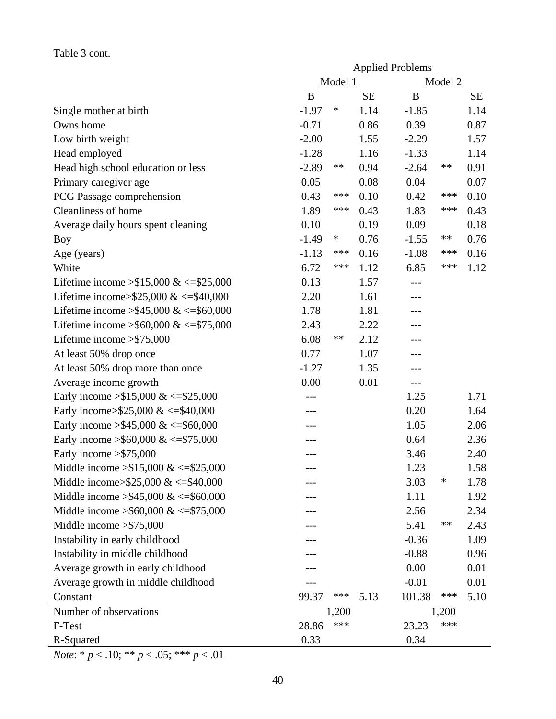## Table 3 cont.

|                                            | <b>Applied Problems</b> |         |           |         |         |           |  |
|--------------------------------------------|-------------------------|---------|-----------|---------|---------|-----------|--|
|                                            |                         | Model 1 |           |         | Model 2 |           |  |
|                                            | B                       |         | <b>SE</b> | B       |         | <b>SE</b> |  |
| Single mother at birth                     | $-1.97$                 | ∗       | 1.14      | $-1.85$ |         | 1.14      |  |
| Owns home                                  | $-0.71$                 |         | 0.86      | 0.39    |         | 0.87      |  |
| Low birth weight                           | $-2.00$                 |         | 1.55      | $-2.29$ |         | 1.57      |  |
| Head employed                              | $-1.28$                 |         | 1.16      | $-1.33$ |         | 1.14      |  |
| Head high school education or less         | $-2.89$                 | **      | 0.94      | $-2.64$ | **      | 0.91      |  |
| Primary caregiver age                      | 0.05                    |         | 0.08      | 0.04    |         | 0.07      |  |
| PCG Passage comprehension                  | 0.43                    | ***     | 0.10      | 0.42    | ***     | 0.10      |  |
| Cleanliness of home                        | 1.89                    | ***     | 0.43      | 1.83    | ***     | 0.43      |  |
| Average daily hours spent cleaning         | 0.10                    |         | 0.19      | 0.09    |         | 0.18      |  |
| Boy                                        | $-1.49$                 | $\ast$  | 0.76      | $-1.55$ | **      | 0.76      |  |
| Age (years)                                | $-1.13$                 | ***     | 0.16      | $-1.08$ | ***     | 0.16      |  |
| White                                      | 6.72                    | ***     | 1.12      | 6.85    | ***     | 1.12      |  |
| Lifetime income > \$15,000 & <= \$25,000   | 0.13                    |         | 1.57      | $---$   |         |           |  |
| Lifetime income>\$25,000 & <= \$40,000     | 2.20                    |         | 1.61      | ---     |         |           |  |
| Lifetime income > \$45,000 & <= \$60,000   | 1.78                    |         | 1.81      | ---     |         |           |  |
| Lifetime income > \$60,000 & <= \$75,000   | 2.43                    |         | 2.22      |         |         |           |  |
| Lifetime income $>$ \$75,000               | 6.08                    | **      | 2.12      | ---     |         |           |  |
| At least 50% drop once                     | 0.77                    |         | 1.07      | ---     |         |           |  |
| At least 50% drop more than once           | $-1.27$                 |         | 1.35      | ---     |         |           |  |
| Average income growth                      | 0.00                    |         | 0.01      | $---$   |         |           |  |
| Early income $> $15,000 \<= $25,000$       |                         |         |           | 1.25    |         | 1.71      |  |
| Early income>\$25,000 & <=\$40,000         |                         |         |           | 0.20    |         | 1.64      |  |
| Early income > \$45,000 & <= \$60,000      |                         |         |           | 1.05    |         | 2.06      |  |
| Early income > \$60,000 & <= \$75,000      |                         |         |           | 0.64    |         | 2.36      |  |
| Early income $>\$ 575,000                  | ---                     |         |           | 3.46    |         | 2.40      |  |
| Middle income $> $15,000 \<= $25,000$      |                         |         |           | 1.23    |         | 1.58      |  |
| Middle income> $$25,000 \<= $40,000$       |                         |         |           | 3.03    | ∗       | 1.78      |  |
| Middle income $> $45,000 \<= $60,000$      |                         |         |           | 1.11    |         | 1.92      |  |
| Middle income $\geq$ \$60,000 & <=\$75,000 |                         |         |           | 2.56    |         | 2.34      |  |
| Middle income $>\$ 575,000                 |                         |         |           | 5.41    | **      | 2.43      |  |
| Instability in early childhood             |                         |         |           | $-0.36$ |         | 1.09      |  |
| Instability in middle childhood            |                         |         |           | $-0.88$ |         | 0.96      |  |
| Average growth in early childhood          |                         |         |           | 0.00    |         | 0.01      |  |
| Average growth in middle childhood         |                         |         |           | $-0.01$ |         | 0.01      |  |
| Constant                                   | 99.37                   | ***     | 5.13      | 101.38  | ***     | 5.10      |  |
| Number of observations                     |                         | 1,200   |           |         | 1,200   |           |  |
| F-Test                                     | 28.86                   | ***     |           | 23.23   | ***     |           |  |
| R-Squared                                  | 0.33                    |         |           | 0.34    |         |           |  |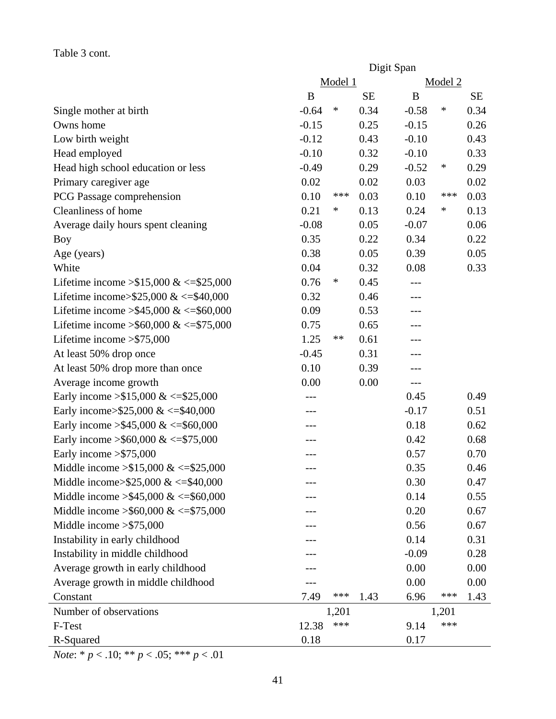# Table 3 cont.

|                                            | Digit Span       |         |           |         |         |           |
|--------------------------------------------|------------------|---------|-----------|---------|---------|-----------|
|                                            |                  | Model 1 |           |         | Model 2 |           |
|                                            | $\boldsymbol{B}$ |         | <b>SE</b> | B       |         | <b>SE</b> |
| Single mother at birth                     | $-0.64$          | $\ast$  | 0.34      | $-0.58$ | $\ast$  | 0.34      |
| Owns home                                  | $-0.15$          |         | 0.25      | $-0.15$ |         | 0.26      |
| Low birth weight                           | $-0.12$          |         | 0.43      | $-0.10$ |         | 0.43      |
| Head employed                              | $-0.10$          |         | 0.32      | $-0.10$ |         | 0.33      |
| Head high school education or less         | $-0.49$          |         | 0.29      | $-0.52$ | $\ast$  | 0.29      |
| Primary caregiver age                      | 0.02             |         | 0.02      | 0.03    |         | 0.02      |
| PCG Passage comprehension                  | 0.10             | ***     | 0.03      | 0.10    | ***     | 0.03      |
| Cleanliness of home                        | 0.21             | ∗       | 0.13      | 0.24    | ∗       | 0.13      |
| Average daily hours spent cleaning         | $-0.08$          |         | 0.05      | $-0.07$ |         | 0.06      |
| Boy                                        | 0.35             |         | 0.22      | 0.34    |         | 0.22      |
| Age (years)                                | 0.38             |         | 0.05      | 0.39    |         | 0.05      |
| White                                      | 0.04             |         | 0.32      | 0.08    |         | 0.33      |
| Lifetime income $> $15,000 \<= $25,000$    | 0.76             | $\ast$  | 0.45      | $---$   |         |           |
| Lifetime income>\$25,000 & <= \$40,000     | 0.32             |         | 0.46      | ---     |         |           |
| Lifetime income > \$45,000 & <= \$60,000   | 0.09             |         | 0.53      | ---     |         |           |
| Lifetime income > \$60,000 & <= \$75,000   | 0.75             |         | 0.65      | ---     |         |           |
| Lifetime income $>\$ 575,000               | 1.25             | **      | 0.61      | ---     |         |           |
| At least 50% drop once                     | $-0.45$          |         | 0.31      | ---     |         |           |
| At least 50% drop more than once           | 0.10             |         | 0.39      | ---     |         |           |
| Average income growth                      | 0.00             |         | 0.00      | $---$   |         |           |
| Early income $> $15,000 \<= $25,000$       |                  |         |           | 0.45    |         | 0.49      |
| Early income>\$25,000 & <=\$40,000         | ---              |         |           | $-0.17$ |         | 0.51      |
| Early income > \$45,000 & <= \$60,000      |                  |         |           | 0.18    |         | 0.62      |
| Early income > \$60,000 & <= \$75,000      |                  |         |           | 0.42    |         | 0.68      |
| Early income $>\$ 575,000                  | ---              |         |           | 0.57    |         | 0.70      |
| Middle income $> $15,000 \<= $25,000$      |                  |         |           | 0.35    |         | 0.46      |
| Middle income> $$25,000 \<= $40,000$       |                  |         |           | 0.30    |         | 0.47      |
| Middle income $> $45,000 \<= $60,000$      |                  |         |           | 0.14    |         | 0.55      |
| Middle income $\geq$ \$60,000 & <=\$75,000 |                  |         |           | 0.20    |         | 0.67      |
| Middle income $> $75,000$                  |                  |         |           | 0.56    |         | 0.67      |
| Instability in early childhood             |                  |         |           | 0.14    |         | 0.31      |
| Instability in middle childhood            |                  |         |           | $-0.09$ |         | 0.28      |
| Average growth in early childhood          |                  |         |           | 0.00    |         | 0.00      |
| Average growth in middle childhood         |                  |         |           | 0.00    |         | 0.00      |
| Constant                                   | 7.49             | ***     | 1.43      | 6.96    | ***     | 1.43      |
| Number of observations                     |                  | 1,201   |           |         | 1,201   |           |
| F-Test                                     | 12.38            | ***     |           | 9.14    | ***     |           |
| R-Squared                                  | 0.18             |         |           | 0.17    |         |           |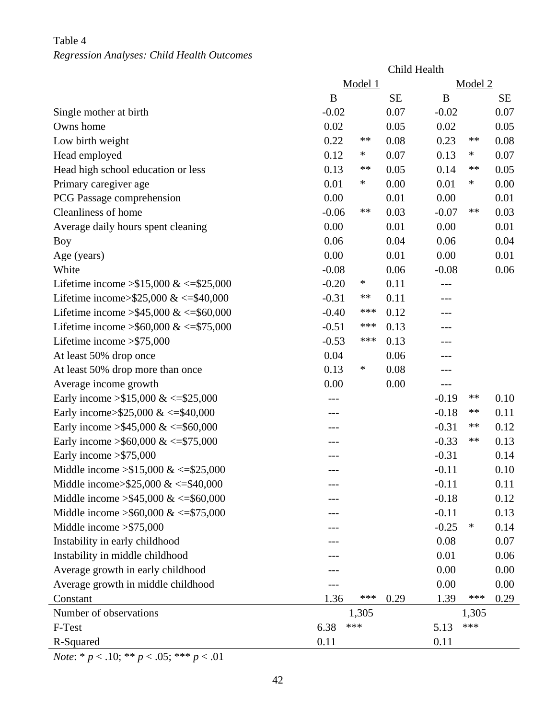# Table 4

## *Regression Analyses: Child Health Outcomes*

|                                          | Child Health |         |           |         |            |           |
|------------------------------------------|--------------|---------|-----------|---------|------------|-----------|
|                                          |              | Model 1 |           |         | Model 2    |           |
|                                          | B            |         | <b>SE</b> | B       |            | <b>SE</b> |
| Single mother at birth                   | $-0.02$      |         | 0.07      | $-0.02$ |            | 0.07      |
| Owns home                                | 0.02         |         | 0.05      | 0.02    |            | 0.05      |
| Low birth weight                         | 0.22         | **      | 0.08      | 0.23    | **         | 0.08      |
| Head employed                            | 0.12         | $\ast$  | 0.07      | 0.13    | $\ast$     | 0.07      |
| Head high school education or less       | 0.13         | **      | 0.05      | 0.14    | **         | 0.05      |
| Primary caregiver age                    | 0.01         | ∗       | 0.00      | 0.01    | $\ast$     | 0.00      |
| PCG Passage comprehension                | 0.00         |         | 0.01      | 0.00    |            | 0.01      |
| Cleanliness of home                      | $-0.06$      | **      | 0.03      | $-0.07$ | **         | 0.03      |
| Average daily hours spent cleaning       | 0.00         |         | 0.01      | 0.00    |            | 0.01      |
| <b>Boy</b>                               | 0.06         |         | 0.04      | 0.06    |            | 0.04      |
| Age (years)                              | 0.00         |         | 0.01      | 0.00    |            | 0.01      |
| White                                    | $-0.08$      |         | 0.06      | $-0.08$ |            | 0.06      |
| Lifetime income $> $15,000 \<= $25,000$  | $-0.20$      | $\ast$  | 0.11      |         |            |           |
| Lifetime income>\$25,000 & <= \$40,000   | $-0.31$      | **      | 0.11      |         |            |           |
| Lifetime income > \$45,000 & <= \$60,000 | $-0.40$      | ***     | 0.12      | ---     |            |           |
| Lifetime income > \$60,000 & <= \$75,000 | $-0.51$      | ***     | 0.13      | ---     |            |           |
| Lifetime income $>\$ 575,000             | $-0.53$      | ***     | 0.13      |         |            |           |
| At least 50% drop once                   | 0.04         |         | 0.06      |         |            |           |
| At least 50% drop more than once         | 0.13         | $\ast$  | 0.08      | ---     |            |           |
| Average income growth                    | 0.00         |         | 0.00      | $---$   |            |           |
| Early income $>15,000 \<=15,000$         |              |         |           | $-0.19$ | **         | 0.10      |
| Early income>\$25,000 & <=\$40,000       | ---          |         |           | $-0.18$ | **         | 0.11      |
| Early income > \$45,000 & <= \$60,000    |              |         |           | $-0.31$ | **         | 0.12      |
| Early income > \$60,000 & <= \$75,000    |              |         |           | $-0.33$ | $\ast\ast$ | 0.13      |
| Early income $>\$ 575,000                |              |         |           | $-0.31$ |            | 0.14      |
| Middle income $> $15,000 \<= $25,000$    |              |         |           | $-0.11$ |            | 0.10      |
| Middle income> $$25,000 \<= $40,000$     |              |         |           | $-0.11$ |            | 0.11      |
| Middle income $> $45,000 \<= $60,000$    |              |         |           | $-0.18$ |            | 0.12      |
| Middle income > \$60,000 & <= \$75,000   |              |         |           | $-0.11$ |            | 0.13      |
| Middle income $>\$ 575,000               |              |         |           | $-0.25$ | $\ast$     | 0.14      |
| Instability in early childhood           |              |         |           | 0.08    |            | 0.07      |
| Instability in middle childhood          |              |         |           | 0.01    |            | 0.06      |
| Average growth in early childhood        |              |         |           | 0.00    |            | 0.00      |
| Average growth in middle childhood       |              |         |           | 0.00    |            | 0.00      |
| Constant                                 | 1.36         | ***     | 0.29      | 1.39    | ***        | 0.29      |
| Number of observations                   |              | 1,305   |           |         | 1,305      |           |
| F-Test                                   | 6.38         | ***     |           | 5.13    | ***        |           |
| R-Squared                                | 0.11         |         |           | 0.11    |            |           |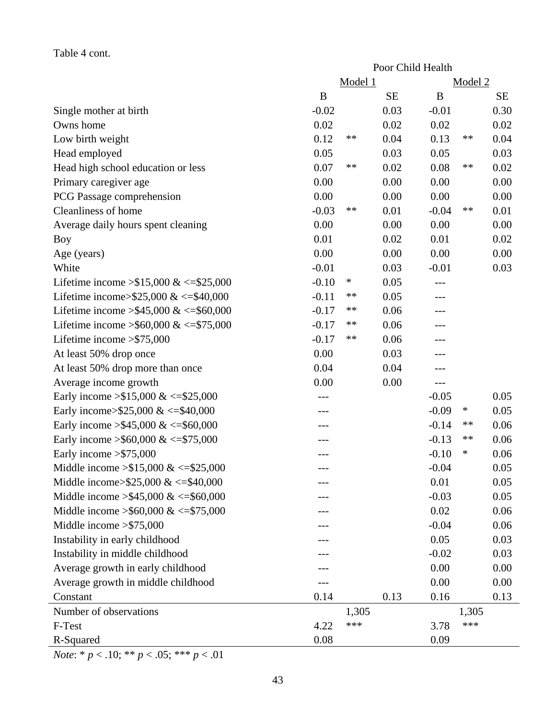## Table 4 cont.

|                                            | Poor Child Health |         |           |         |         |           |
|--------------------------------------------|-------------------|---------|-----------|---------|---------|-----------|
|                                            |                   | Model 1 |           |         | Model 2 |           |
|                                            | $\bf{B}$          |         | <b>SE</b> | B       |         | <b>SE</b> |
| Single mother at birth                     | $-0.02$           |         | 0.03      | $-0.01$ |         | 0.30      |
| Owns home                                  | 0.02              |         | 0.02      | 0.02    |         | 0.02      |
| Low birth weight                           | 0.12              | **      | 0.04      | 0.13    | **      | 0.04      |
| Head employed                              | 0.05              |         | 0.03      | 0.05    |         | 0.03      |
| Head high school education or less         | 0.07              | **      | 0.02      | 0.08    | **      | 0.02      |
| Primary caregiver age                      | 0.00              |         | 0.00      | 0.00    |         | 0.00      |
| PCG Passage comprehension                  | 0.00              |         | 0.00      | 0.00    |         | 0.00      |
| Cleanliness of home                        | $-0.03$           | **      | 0.01      | $-0.04$ | **      | 0.01      |
| Average daily hours spent cleaning         | 0.00              |         | 0.00      | 0.00    |         | 0.00      |
| Boy                                        | 0.01              |         | 0.02      | 0.01    |         | 0.02      |
| Age (years)                                | 0.00              |         | 0.00      | 0.00    |         | 0.00      |
| White                                      | $-0.01$           |         | 0.03      | $-0.01$ |         | 0.03      |
| Lifetime income $> $15,000 \<= $25,000$    | $-0.10$           | $\ast$  | 0.05      |         |         |           |
| Lifetime income>\$25,000 & <= \$40,000     | $-0.11$           | **      | 0.05      | ---     |         |           |
| Lifetime income > \$45,000 & <= \$60,000   | $-0.17$           | **      | 0.06      | ---     |         |           |
| Lifetime income > \$60,000 & <= \$75,000   | $-0.17$           | **      | 0.06      |         |         |           |
| Lifetime income $>\$ 575,000               | $-0.17$           | **      | 0.06      | ---     |         |           |
| At least 50% drop once                     | 0.00              |         | 0.03      | ---     |         |           |
| At least 50% drop more than once           | 0.04              |         | 0.04      | ---     |         |           |
| Average income growth                      | 0.00              |         | 0.00      | ---     |         |           |
| Early income $> $15,000 \<= $25,000$       |                   |         |           | $-0.05$ |         | 0.05      |
| Early income>\$25,000 & <=\$40,000         |                   |         |           | $-0.09$ | ∗       | 0.05      |
| Early income > \$45,000 & <= \$60,000      |                   |         |           | $-0.14$ | **      | 0.06      |
| Early income > \$60,000 & <= \$75,000      |                   |         |           | $-0.13$ | **      | 0.06      |
| Early income $>\$ 575,000                  |                   |         |           | $-0.10$ | ∗       | 0.06      |
| Middle income $> $15,000 \<= $25,000$      |                   |         |           | $-0.04$ |         | 0.05      |
| Middle income> $$25,000 \<= $40,000$       |                   |         |           | 0.01    |         | 0.05      |
| Middle income $> $45,000 \<= $60,000$      |                   |         |           | $-0.03$ |         | 0.05      |
| Middle income $\geq$ \$60,000 & <=\$75,000 |                   |         |           | 0.02    |         | 0.06      |
| Middle income $>\$ 575,000                 |                   |         |           | $-0.04$ |         | 0.06      |
| Instability in early childhood             |                   |         |           | 0.05    |         | 0.03      |
| Instability in middle childhood            |                   |         |           | $-0.02$ |         | 0.03      |
| Average growth in early childhood          |                   |         |           | 0.00    |         | 0.00      |
| Average growth in middle childhood         |                   |         |           | 0.00    |         | 0.00      |
| Constant                                   | 0.14              |         | 0.13      | 0.16    |         | 0.13      |
| Number of observations                     |                   | 1,305   |           |         | 1,305   |           |
| F-Test                                     | 4.22              | ***     |           | 3.78    | ***     |           |
| R-Squared                                  | 0.08              |         |           | 0.09    |         |           |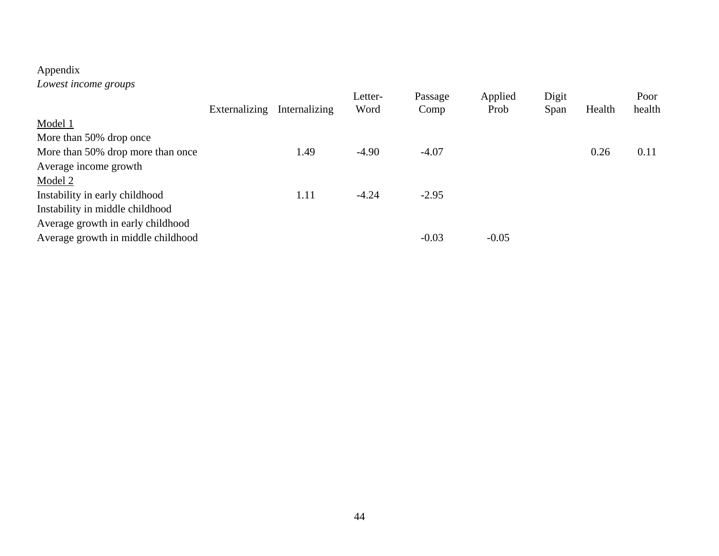# Appendix

*Lowest income groups* 

|                                    |               |               | Letter- | Passage | Applied | Digit |        | Poor   |
|------------------------------------|---------------|---------------|---------|---------|---------|-------|--------|--------|
|                                    | Externalizing | Internalizing | Word    | Comp    | Prob    | Span  | Health | health |
| Model 1                            |               |               |         |         |         |       |        |        |
| More than 50% drop once            |               |               |         |         |         |       |        |        |
| More than 50% drop more than once  |               | 1.49          | $-4.90$ | $-4.07$ |         |       | 0.26   | 0.11   |
| Average income growth              |               |               |         |         |         |       |        |        |
| Model 2                            |               |               |         |         |         |       |        |        |
| Instability in early childhood     |               | 1.11          | $-4.24$ | $-2.95$ |         |       |        |        |
| Instability in middle childhood    |               |               |         |         |         |       |        |        |
| Average growth in early childhood  |               |               |         |         |         |       |        |        |
| Average growth in middle childhood |               |               |         | $-0.03$ | $-0.05$ |       |        |        |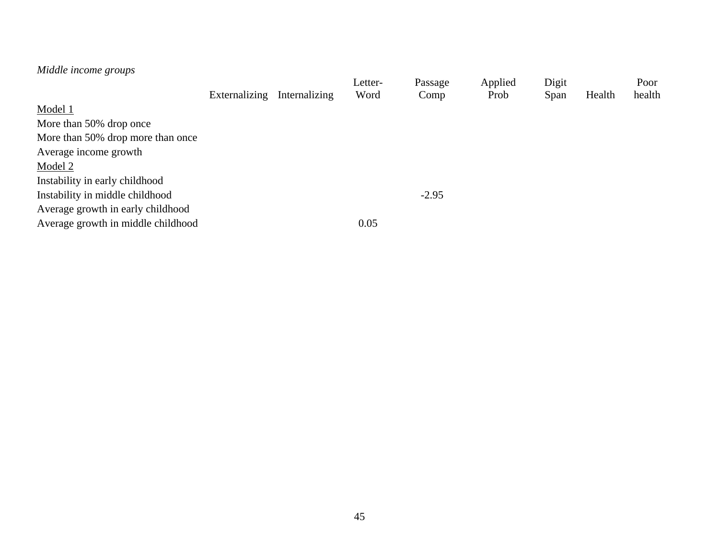| Middle income groups               |               |               |         |         |         |       |        |        |
|------------------------------------|---------------|---------------|---------|---------|---------|-------|--------|--------|
|                                    |               |               | Letter- | Passage | Applied | Digit |        | Poor   |
|                                    | Externalizing | Internalizing | Word    | Comp    | Prob    | Span  | Health | health |
| Model 1                            |               |               |         |         |         |       |        |        |
| More than 50% drop once            |               |               |         |         |         |       |        |        |
| More than 50% drop more than once  |               |               |         |         |         |       |        |        |
| Average income growth              |               |               |         |         |         |       |        |        |
| Model 2                            |               |               |         |         |         |       |        |        |
| Instability in early childhood     |               |               |         |         |         |       |        |        |
| Instability in middle childhood    |               |               |         | $-2.95$ |         |       |        |        |
| Average growth in early childhood  |               |               |         |         |         |       |        |        |
| Average growth in middle childhood |               |               | 0.05    |         |         |       |        |        |